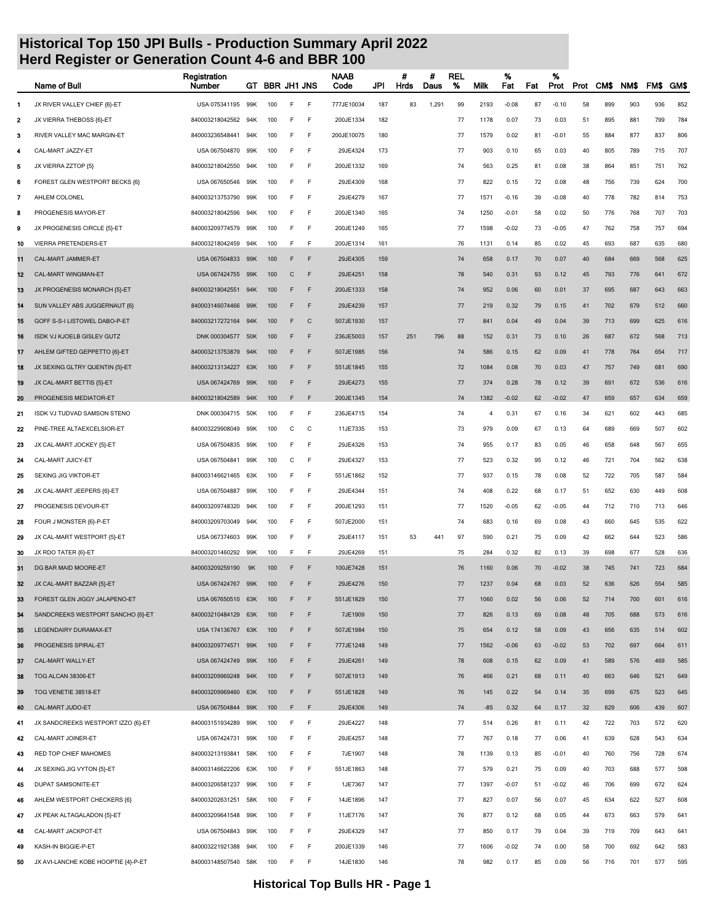|    | Name of Bull                        | Registration<br>Number | GT  |     |   | <b>BBR JH1 JNS</b> | <b>NAAB</b><br>Code | JPI | #<br>Hrds | Ħ<br>Daus | <b>REL</b><br>% | Milk           | %<br>Fat | Fat | %<br>Prot | Prot | CM\$ | NM\$ | FM\$ | GM\$ |
|----|-------------------------------------|------------------------|-----|-----|---|--------------------|---------------------|-----|-----------|-----------|-----------------|----------------|----------|-----|-----------|------|------|------|------|------|
| 1  | JX RIVER VALLEY CHIEF {6}-ET        | USA 075341195          | 99K | 100 | E | F                  | 777JE10034          | 187 | 83        | 1,291     | 99              | 2193           | $-0.08$  | 87  | $-0.10$   | 58   | 899  | 903  | 936  | 852  |
| 2  | JX VIERRA THEBOSS {6}-ET            | 840003218042562        | 94K | 100 | F | F                  | 200JE1334           | 182 |           |           | 77              | 1178           | 0.07     | 73  | 0.03      | 51   | 895  | 881  | 799  | 784  |
| з  | RIVER VALLEY MAC MARGIN-ET          | 840003236548441        | 94K | 100 | F | F                  | 200JE10075          | 180 |           |           | 77              | 1579           | 0.02     | 81  | $-0.01$   | 55   | 884  | 877  | 837  | 806  |
| 4  | CAL-MART JAZZY-ET                   | USA 067504870          | 99K | 100 | E | F                  | 29JE4324            | 173 |           |           | 77              | 903            | 0.10     | 65  | 0.03      | 40   | 805  | 789  | 715  | 707  |
| 5  | JX VIERRA ZZTOP {5}                 | 840003218042550        | 94K | 100 | E | F                  | 200JE1332           | 169 |           |           | 74              | 563            | 0.25     | 81  | 0.08      | 38   | 864  | 851  | 751  | 762  |
| 6  | FOREST GLEN WESTPORT BECKS {6}      | USA 067650546          | 99K | 100 |   | F                  | 29JE4309            | 168 |           |           | 77              | 822            | 0.15     | 72  | 0.08      | 48   | 756  | 739  | 624  | 700  |
| 7  | AHLEM COLONEL                       | 840003213753790        | 99K | 100 | F | F                  | 29JE4279            | 167 |           |           | 77              | 1571           | $-0.16$  | 39  | $-0.08$   | 40   | 778  | 782  | 814  | 753  |
| 8  | PROGENESIS MAYOR-ET                 | 840003218042596        | 94K | 100 | F | F                  | 200JE1340           | 165 |           |           | 74              | 1250           | $-0.01$  | 58  | 0.02      | 50   | 776  | 768  | 707  | 703  |
| 9  | JX PROGENESIS CIRCLE {5}-ET         | 840003209774579        | 99K | 100 | F | F                  | 200JE1249           | 165 |           |           | 77              | 1598           | $-0.02$  | 73  | $-0.05$   | 47   | 762  | 758  | 757  | 694  |
| 10 | VIERRA PRETENDERS-ET                | 840003218042459        | 94K | 100 | E | F                  | 200JE1314           | 161 |           |           | 76              | 1131           | 0.14     | 85  | 0.02      | 45   | 693  | 687  | 635  | 680  |
| 11 | CAL-MART JAMMER-ET                  | USA 067504833          | 99K | 100 | F | F                  | 29JE4305            | 159 |           |           | 74              | 658            | 0.17     | 70  | 0.07      | 40   | 684  | 669  | 568  | 625  |
| 12 | CAL-MART WINGMAN-ET                 | USA 067424755          | 99K | 100 | C | F                  | 29JE4251            | 158 |           |           | 78              | 540            | 0.31     | 93  | 0.12      | 45   | 793  | 776  | 641  | 672  |
| 13 | JX PROGENESIS MONARCH {5}-ET        | 840003218042551        | 94K | 100 | F | F                  | 200JE1333           | 158 |           |           | 74              | 952            | 0.06     | 60  | 0.01      | 37   | 695  | 687  | 643  | 663  |
| 14 | SUN VALLEY ABS JUGGERNAUT {6}       | 840003146074466        | 99K | 100 |   | F                  | 29JE4239            | 157 |           |           | 77              | 219            | 0.32     | 79  | 0.15      | 41   | 702  | 679  | 512  | 660  |
| 15 | GOFF S-S-I LISTOWEL DABO-P-ET       | 840003217272164        | 94K | 100 | F | $\mathsf{C}$       | 507JE1930           | 157 |           |           | 77              | 841            | 0.04     | 49  | 0.04      | 39   | 713  | 699  | 625  | 616  |
| 16 | ISDK VJ KJOELB GISLEV GUTZ          | DNK 000304577          | 50K | 100 | F | F                  | 236JE5003           | 157 | 251       | 796       | 88              | 152            | 0.31     | 73  | 0.10      | 26   | 687  | 672  | 568  | 713  |
| 17 | AHLEM GIFTED GEPPETTO {6}-ET        | 840003213753879        | 94K | 100 | F | F                  | 507JE1985           | 156 |           |           | 74              | 586            | 0.15     | 62  | 0.09      | 41   | 778  | 764  | 654  | 717  |
| 18 | JX SEXING GLTRY QUENTIN {5}-ET      | 840003213134227        | 63K | 100 | F | F                  | 551JE1845           | 155 |           |           | 72              | 1084           | 0.08     | 70  | 0.03      | 47   | 757  | 749  | 681  | 690  |
| 19 | JX CAL-MART BETTIS {5}-ET           | USA 067424769          | 99K | 100 | F | F                  | 29JE4273            | 155 |           |           | 77              | 374            | 0.28     | 78  | 0.12      | 39   | 691  | 672  | 536  | 616  |
| 20 | PROGENESIS MEDIATOR-ET              | 840003218042589        | 94K | 100 | F | F                  | 200JE1345           | 154 |           |           | 74              | 1382           | $-0.02$  | 62  | $-0.02$   | 47   | 659  | 657  | 634  | 659  |
| 21 | ISDK VJ TUDVAD SAMSON STENO         | DNK 000304715          | 50K | 100 | F | F                  | 236JE4715           | 154 |           |           | 74              | $\overline{4}$ | 0.31     | 67  | 0.16      | 34   | 621  | 602  | 443  | 685  |
| 22 | PINE-TREE ALTAEXCELSIOR-ET          | 840003229908049        | 99K | 100 | C | C                  | 11JE7335            | 153 |           |           | 73              | 979            | 0.09     | 67  | 0.13      | 64   | 689  | 669  | 507  | 602  |
| 23 | JX CAL-MART JOCKEY {5}-ET           | USA 067504835          | 99K | 100 | E | F                  | 29JE4326            | 153 |           |           | 74              | 955            | 0.17     | 83  | 0.05      | 46   | 658  | 648  | 567  | 655  |
| 24 | CAL-MART JUICY-ET                   | USA 067504841          | 99K | 100 | C | F                  | 29JE4327            | 153 |           |           | 77              | 523            | 0.32     | 95  | 0.12      | 46   | 721  | 704  | 562  | 638  |
| 25 | SEXING JIG VIKTOR-ET                | 840003146621465        | 63K | 100 | F | F                  | 551JE1862           | 152 |           |           | 77              | 937            | 0.15     | 78  | 0.08      | 52   | 722  | 705  | 587  | 584  |
| 26 | JX CAL-MART JEEPERS {6}-ET          | USA 067504887          | 99K | 100 | F | F                  | 29JE4344            | 151 |           |           | 74              | 408            | 0.22     | 68  | 0.17      | 51   | 652  | 630  | 449  | 608  |
| 27 | PROGENESIS DEVOUR-ET                | 840003209748320        | 94K | 100 | F | F                  | 200JE1293           | 151 |           |           | 77              | 1520           | $-0.05$  | 62  | -0.05     | 44   | 712  | 710  | 713  | 646  |
| 28 | FOUR J MONSTER {6}-P-ET             | 840003209703049        | 94K | 100 | F | F                  | 507JE2000           | 151 |           |           | 74              | 683            | 0.16     | 69  | 0.08      | 43   | 660  | 645  | 535  | 622  |
| 29 | JX CAL-MART WESTPORT {5}-ET         | USA 067374603          | 99K | 100 | F | F                  | 29JE4117            | 151 | 53        | 441       | 97              | 590            | 0.21     | 75  | 0.09      | 42   | 662  | 644  | 523  | 586  |
| 30 | JX RDO TATER {6}-ET                 | 840003201460292        | 99K | 100 | E | F                  | 29JE4269            | 151 |           |           | 75              | 284            | 0.32     | 82  | 0.13      | 39   | 698  | 677  | 528  | 636  |
| 31 | DG BAR MAID MOORE-ET                | 840003209259190        | 9K  | 100 |   | F                  | 100JE7428           | 151 |           |           | 76              | 1160           | 0.06     | 70  | $-0.02$   | 38   | 745  | 741  | 723  | 684  |
| 32 | JX CAL-MART BAZZAR {5}-ET           | USA 067424767 99K      |     | 100 |   | F                  | 29JE4276            | 150 |           |           | 77              | 1237           | 0.04     | 68  | 0.03      | 52   | 636  | 626  | 554  | 585  |
| 33 | FOREST GLEN JIGGY JALAPENO-ET       | USA 067650510 63K      |     | 100 | F | F                  | 551JE1829           | 150 |           |           | 77              | 1060           | 0.02     | 56  | 0.06      | 52   | 714  | 700  | 601  | 616  |
| 34 | SANDCREEKS WESTPORT SANCHO {6}-ET   | 840003210484129 63K    |     | 100 | F | F                  | 7JE1909             | 150 |           |           | 77              | 826            | 0.13     | 69  | 0.08      | 48   | 705  | 688  | 573  | 616  |
| 35 | LEGENDAIRY DURAMAX-ET               | USA 174136767 63K      |     | 100 | F | F                  | 507JE1984           | 150 |           |           | 75              | 654            | 0.12     | 58  | 0.09      | 43   | 656  | 635  | 514  | 602  |
| 36 | PROGENESIS SPIRAL-ET                | 840003209774571 99K    |     | 100 | F | F                  | 777JE1248           | 149 |           |           | 77              | 1562           | $-0.06$  | 63  | $-0.02$   | 53   | 702  | 697  | 664  | 611  |
| 37 | CAL-MART WALLY-ET                   | USA 067424749          | 99K | 100 | F | F                  | 29JE4261            | 149 |           |           | 78              | 608            | 0.15     | 62  | 0.09      | 41   | 589  | 576  | 469  | 585  |
| 38 | TOG ALCAN 38306-ET                  | 840003209969248 94K    |     | 100 | F | F                  | 507JE1913           | 149 |           |           | 76              | 466            | 0.21     | 68  | 0.11      | 40   | 663  | 646  | 521  | 649  |
| 39 | TOG VENETIE 38518-ET                | 840003209969460        | 63K | 100 | F | F                  | 551JE1828           | 149 |           |           | 76              | 145            | 0.22     | 54  | 0.14      | 35   | 699  | 675  | 523  | 645  |
| 40 | CAL-MART JUDO-ET                    | USA 067504844 99K      |     | 100 | F | F                  | 29JE4306            | 149 |           |           | 74              | -85            | 0.32     | 64  | 0.17      | 32   | 629  | 606  | 439  | 607  |
| 41 | JX SANDCREEKS WESTPORT IZZO {6}-ET  | 840003151934289        | 99K | 100 | E | F                  | 29JE4227            | 148 |           |           | 77              | 514            | 0.26     | 81  | 0.11      | 42   | 722  | 703  | 572  | 620  |
| 42 | CAL-MART JOINER-ET                  | USA 067424731          | 99K | 100 | E | F                  | 29JE4257            | 148 |           |           | 77              | 767            | 0.18     | 77  | 0.06      | 41   | 639  | 628  | 543  | 634  |
| 43 | RED TOP CHIEF MAHOMES               | 840003213193841        | 58K | 100 | E | F                  | 7JE1907             | 148 |           |           | 78              | 1139           | 0.13     | 85  | $-0.01$   | 40   | 760  | 756  | 728  | 674  |
| 44 | JX SEXING JIG VYTON {5}-ET          | 840003146622206        | 63K | 100 | E | F                  | 551JE1863           | 148 |           |           | 77              | 579            | 0.21     | 75  | 0.09      | 40   | 703  | 688  | 577  | 598  |
| 45 | DUPAT SAMSONITE-ET                  | 840003206581237        | 99K | 100 | F | F                  | 1JE7367             | 147 |           |           | 77              | 1397           | $-0.07$  | 51  | $-0.02$   | 46   | 706  | 699  | 672  | 624  |
| 46 | AHLEM WESTPORT CHECKERS {6}         | 840003202631251        | 58K | 100 | F | F                  | 14JE1896            | 147 |           |           | 77              | 827            | 0.07     | 56  | 0.07      | 45   | 634  | 622  | 527  | 608  |
| 47 | JX PEAK ALTAGALADON {5}-ET          | 840003209641548        | 99K | 100 | E | F                  | 11JE7176            | 147 |           |           | 76              | 877            | 0.12     | 68  | 0.05      | 44   | 673  | 663  | 579  | 641  |
| 48 | CAL-MART JACKPOT-ET                 | USA 067504843 99K      |     | 100 | E | F                  | 29JE4329            | 147 |           |           | 77              | 850            | 0.17     | 79  | 0.04      | 39   | 719  | 709  | 643  | 641  |
| 49 | KASH-IN BIGGIE-P-ET                 | 840003221921388        | 94K | 100 | F | F                  | 200JE1339           | 146 |           |           | 77              | 1606           | $-0.02$  | 74  | 0.00      | 58   | 700  | 692  | 642  | 583  |
| 50 | JX AVI-LANCHE KOBE HOOPTIE {4}-P-ET | 840003148507540        | 58K | 100 | F | F                  | 14JE1830            | 146 |           |           | 78              | 982            | 0.17     | 85  | 0.09      | 56   | 716  | 701  | 577  | 595  |
|    |                                     |                        |     |     |   |                    |                     |     |           |           |                 |                |          |     |           |      |      |      |      |      |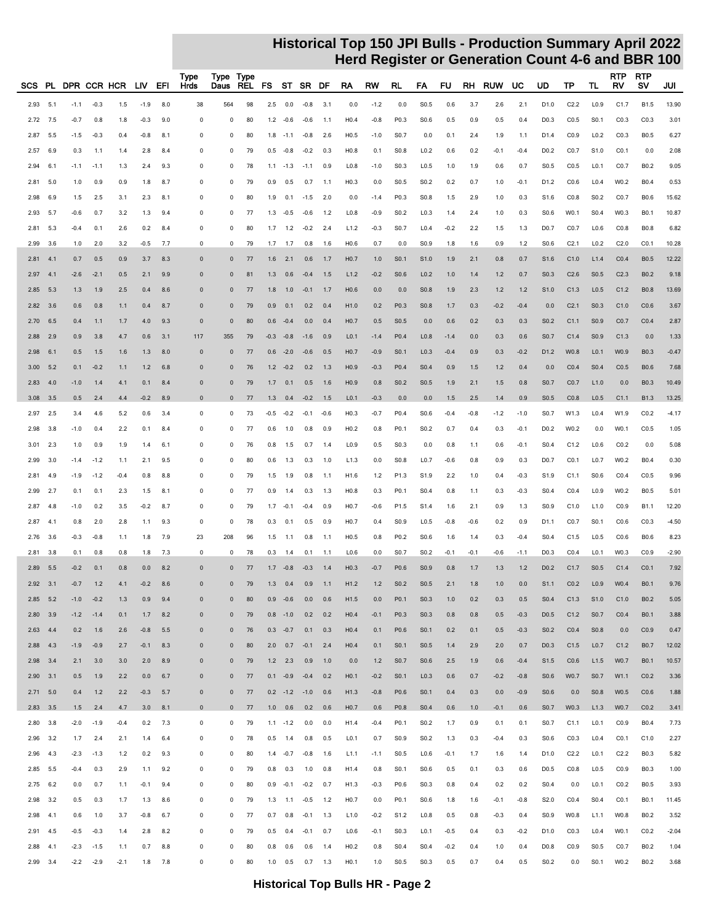| SCS. |              |        |              | PL DPR CCR HCR | LIV .  | EFI             | Type<br>Hrds | Type Type<br>Daus | REL FS ST SR DF |        |                 |                          |             | RA               | RW     | RL               | FA               | FU     | RH     | <b>RUW</b> | UC     | UD               | TP               | TL.              | <b>RTP</b><br>RV | <b>RTP</b><br>s٧ | JUI     |
|------|--------------|--------|--------------|----------------|--------|-----------------|--------------|-------------------|-----------------|--------|-----------------|--------------------------|-------------|------------------|--------|------------------|------------------|--------|--------|------------|--------|------------------|------------------|------------------|------------------|------------------|---------|
| 2.93 | 5.1          | $-1.1$ | $-0.3$       | 1.5            | $-1.9$ | 8.0             | 38           | 564               | 98              | 2.5    | 0.0             | $-0.8$                   | 3.1         | 0.0              | $-1.2$ | 0.0              | S <sub>0.5</sub> | 0.6    | 3.7    | 2.6        | 2.1    | D1.0             | C2.2             | L <sub>0.9</sub> | C1.7             | <b>B1.5</b>      | 13.90   |
| 2.72 | 7.5          | $-0.7$ | 0.8          | 1.8            | $-0.3$ | 9.0             | $\mathbf 0$  | 0                 | 80              |        | $1.2 -0.6$      | $-0.6$                   | 1.1         | H0.4             | $-0.8$ | P0.3             | S0.6             | 0.5    | 0.9    | 0.5        | 0.4    | D <sub>0.3</sub> | CO.5             | S <sub>0.1</sub> | CO.3             | CO.3             | 3.01    |
| 2.87 | 5.5          | $-1.5$ | $-0.3$       | 0.4            | $-0.8$ | 8.1             | $\mathbf 0$  | 0                 | 80              | 1.8    |                 | $-1.1 - 0.8$             | 2.6         | H <sub>0.5</sub> | $-1.0$ | S <sub>0.7</sub> | 0.0              | 0.1    | 2.4    | 1.9        | 1.1    | D1.4             | CO.9             | L <sub>0.2</sub> | CO.3             | B0.5             | 6.27    |
| 2.57 | 6.9          | 0.3    | 1.1          | 1.4            | 2.8    | 8.4             | $\Omega$     | 0                 | 79              | 0.5    | $-0.8$          | $-0.2$                   | 0.3         | H <sub>0.8</sub> | 0.1    | S <sub>0.8</sub> | L <sub>0.2</sub> | 0.6    | 0.2    | $-0.1$     | $-0.4$ | D <sub>0.2</sub> | CO.7             | S <sub>1.0</sub> | CO.1             | 0.0              | 2.08    |
| 2.94 | 6.1          | $-1.1$ | $-1.1$       | 1.3            | 2.4    | 9.3             | 0            | 0                 | 78              | 1.1    | $-1.3$          | $-1.1$                   | 0.9         | L <sub>0.8</sub> | $-1.0$ | S <sub>0.3</sub> | L <sub>0.5</sub> | 1.0    | 1.9    | 0.6        | 0.7    | S <sub>0.5</sub> | CO.5             | L <sub>0.1</sub> | C <sub>0.7</sub> | B <sub>0.2</sub> | 9.05    |
| 2.81 | 5.0          | 1.0    | 0.9          | 0.9            | 1.8    | 8.7             | $\mathbf 0$  | 0                 | 79              | 0.9    | 0.5             | 0.7                      | 1.1         | H <sub>0.3</sub> | 0.0    | S <sub>0.5</sub> | S <sub>0.2</sub> | 0.2    | 0.7    | 1.0        | $-0.1$ | D1.2             | CO.6             | L <sub>0.4</sub> | W0.2             | B0.4             | 0.53    |
| 2.98 | 6.9          | 1.5    | 2.5          | 3.1            | 2.3    | 8.1             | 0            | 0                 | 80              | 1.9    |                 | $0.1 - 1.5$              | 2.0         | 0.0              | $-1.4$ | P0.3             | S0.8             | 1.5    | 2.9    | 1.0        | 0.3    | S1.6             | CO.8             | S <sub>0.2</sub> | CO.7             | B0.6             | 15.62   |
| 2.93 | 5.7          | $-0.6$ | 0.7          | 3.2            | 1.3    | 9.4             | 0            | 0                 | 77              | 1.3    | $-0.5$          | $-0.6$                   | 1.2         | L <sub>0.8</sub> | $-0.9$ | S <sub>0.2</sub> | L0.3             | 1.4    | 2.4    | 1.0        | 0.3    | S <sub>0.6</sub> | W0.1             | S <sub>0.4</sub> | W0.3             | B <sub>0.1</sub> | 10.87   |
| 2.81 | 5.3          | $-0.4$ | 0.1          | 2.6            | 0.2    | 8.4             | $\mathbf 0$  | 0                 | 80              | 1.7    | 1.2             | $-0.2$                   | 2.4         | L1.2             | $-0.3$ | S0.7             | L <sub>0.4</sub> | $-0.2$ | 2.2    | 1.5        | 1.3    | D <sub>0.7</sub> | CO.7             | L0.6             | CO.8             | <b>B0.8</b>      | 6.82    |
| 2.99 | 3.6          | 1.0    | 2.0          | 3.2            | $-0.5$ | 7.7             | 0            | 0                 | 79              | 1.7    | 1.7             | 0.8                      | 1.6         | H <sub>0.6</sub> | 0.7    | 0.0              | S <sub>0.9</sub> | 1.8    | 1.6    | 0.9        | 1.2    | S <sub>0.6</sub> | C <sub>2.1</sub> | L <sub>0.2</sub> | C2.0             | CO.1             | 10.28   |
| 2.81 | 4.1          | 0.7    | 0.5          | 0.9            | 3.7    | 8.3             | $\mathbf{0}$ | $\mathbf{0}$      | 77              | 1.6    | 2.1             | 0.6                      | 1.7         | H <sub>0.7</sub> | 1.0    | S <sub>0.1</sub> | S <sub>1.0</sub> | 1.9    | 2.1    | 0.8        | 0.7    | S <sub>1.6</sub> | C1.0             | L1.4             | CO.4             | <b>B0.5</b>      | 12.22   |
| 2.97 | 4.1          | $-2.6$ | $-2.1$       | 0.5            | 2.1    | 9.9             | $\mathbf 0$  | $\mathbf 0$       | 81              | 1.3    | 0.6             | $-0.4$                   | 1.5         | L1.2             | $-0.2$ | S0.6             | L <sub>0.2</sub> | 1.0    | 1.4    | 1.2        | 0.7    | S0.3             | C2.6             | S <sub>0.5</sub> | C <sub>2.3</sub> | B0.2             | 9.18    |
| 2.85 | 5.3          | 1.3    | 1.9          | 2.5            | 0.4    | 8.6             | $\Omega$     | $\mathbf{0}$      | 77              | 1.8    | 1.0             | $-0.1$                   | 1.7         | H0.6             | 0.0    | 0.0              | S0.8             | 1.9    | 2.3    | 1.2        | 1.2    | S <sub>1.0</sub> | C1.3             | L <sub>0.5</sub> | C1.2             | <b>B0.8</b>      | 13.69   |
| 2.82 | 3.6          | 0.6    | 0.8          | 1.1            | 0.4    | 8.7             | $\mathbf{0}$ | $\mathbf 0$       | 79              | 0.9    | 0.1             | 0.2                      | 0.4         | H1.0             | 0.2    | P0.3             | S0.8             | 1.7    | 0.3    | $-0.2$     | $-0.4$ | 0.0              | C <sub>2.1</sub> | S <sub>0.3</sub> | C1.0             | CO.6             | 3.67    |
| 2.70 | 6.5          | 0.4    | 1.1          | 1.7            | 4.0    | 9.3             | $\mathbf{0}$ | $\mathbf 0$       | 80              | 0.6    | $-0.4$          | 0.0                      | 0.4         | H <sub>0.7</sub> | 0.5    | S <sub>0.5</sub> | 0.0              | 0.6    | 0.2    | 0.3        | 0.3    | S <sub>0.2</sub> | C1.1             | S <sub>0.9</sub> | CO.7             | CO.4             | 2.87    |
| 2.88 | 2.9          | 0.9    | 3.8          | 4.7            | 0.6    | 3.1             | 117          | 355               | 79              | $-0.3$ | $-0.8$          | $-1.6$                   | 0.9         | L <sub>0.1</sub> | $-1.4$ | P <sub>0.4</sub> | L <sub>0.8</sub> | $-1.4$ | 0.0    | 0.3        | 0.6    | S <sub>0.7</sub> | C1.4             | S <sub>0.9</sub> | C1.3             | 0.0              | 1.33    |
| 2.98 | 6.1          | 0.5    | $1.5$        | 1.6            | 1.3    | 8.0             | $\mathbf{0}$ | $\mathbf 0$       | 77              | 0.6    | $-2.0$          | $-0.6$                   | 0.5         | H <sub>0.7</sub> | $-0.9$ | S <sub>0.1</sub> | L <sub>0.3</sub> | $-0.4$ | 0.9    | 0.3        | $-0.2$ | D <sub>1.2</sub> | W0.8             | L <sub>0.1</sub> | W0.9             | <b>B0.3</b>      | $-0.47$ |
| 3.00 | 5.2          | 0.1    | $-0.2$       | 1.1            | 1.2    | 6.8             | $\mathbf 0$  | $\mathbf 0$       | 76              | 1.2    | $-0.2$          | 0.2                      | 1.3         | H <sub>0.9</sub> | $-0.3$ | P <sub>0.4</sub> | S <sub>0.4</sub> | 0.9    | 1.5    | $1.2$      | 0.4    | 0.0              | CO.4             | S <sub>0.4</sub> | CO.5             | <b>B0.6</b>      | 7.68    |
| 2.83 | 4.0          | $-1.0$ | 1.4          | 4.1            | 0.1    | 8.4             | $\mathbf{0}$ | $\mathbf 0$       | 79              | 1.7    | 0.1             | 0.5                      | 1.6         | H <sub>0.9</sub> | 0.8    | S <sub>0.2</sub> | S0.5             | 1.9    | 2.1    | 1.5        | 0.8    | S0.7             | CO.7             | L1.0             | 0.0              | <b>B0.3</b>      | 10.49   |
| 3.08 | 3.5          | 0.5    | 2.4          | 4.4            | $-0.2$ | 8.9             | $\mathbf 0$  | $\mathbf 0$       | 77              | 1.3    |                 | $0.4 -0.2$               | 1.5         | L <sub>0.1</sub> | $-0.3$ | 0.0              | 0.0              | 1.5    | 2.5    | 1.4        | 0.9    | S <sub>0.5</sub> | CO.8             | L <sub>0.5</sub> | C1.1             | <b>B1.3</b>      | 13.25   |
| 2.97 | 2.5          | 3.4    | 4.6          | 5.2            | 0.6    | 3.4             | $\mathbf 0$  | 0                 | 73              | $-0.5$ | $-0.2$          |                          | $-0.1 -0.6$ | H <sub>0.3</sub> | $-0.7$ | P0.4             | S0.6             | $-0.4$ | $-0.8$ | $-1.2$     | $-1.0$ | S <sub>0.7</sub> | W1.3             | L0.4             | W1.9             | CO.2             | $-4.17$ |
| 2.98 | 3.8          | $-1.0$ | 0.4          | 2.2            | 0.1    | 8.4             | $\Omega$     | 0                 | 77              | 0.6    | 1.0             | 0.8                      | 0.9         | H <sub>0.2</sub> | 0.8    | P0.1             | S <sub>0.2</sub> | 0.7    | 0.4    | 0.3        | $-0.1$ | D <sub>0.2</sub> | W0.2             | 0.0              | W0.1             | CO.5             | 1.05    |
| 3.01 | 2.3          | 1.0    | 0.9          | 1.9            | 1.4    | 6.1             | 0            | 0                 | 76              | 0.8    | 1.5             | 0.7                      | 1.4         | L <sub>0.9</sub> | 0.5    | S <sub>0.3</sub> | 0.0              | 0.8    | 1.1    | 0.6        | $-0.1$ | S <sub>0.4</sub> | C1.2             | L0.6             | CO.2             | 0.0              | 5.08    |
| 2.99 | 3.0          | $-1.4$ | $-1.2$       | 1.1            | 2.1    | 9.5             | 0            | 0                 | 80              | 0.6    | 1.3             | 0.3                      | 1.0         | L1.3             | 0.0    | S <sub>0.8</sub> | L <sub>0.7</sub> | $-0.6$ | 0.8    | 0.9        | 0.3    | D <sub>0.7</sub> | CO.1             | L <sub>0.7</sub> | W0.2             | B <sub>0.4</sub> | 0.30    |
| 2.81 | 4.9          | $-1.9$ | $-1.2$       | $-0.4$         | 0.8    | 8.8             | $\mathbf 0$  | 0                 | 79              | 1.5    | 1.9             | 0.8                      | 1.1         | H <sub>1.6</sub> | 1.2    | P1.3             | S <sub>1.9</sub> | 2.2    | 1.0    | 0.4        | $-0.3$ | S <sub>1.9</sub> | C1.1             | S <sub>0.6</sub> | CO.4             | CO.5             | 9.96    |
| 2.99 | 2.7          | 0.1    | 0.1          | 2.3            | 1.5    | 8.1             | $\mathbf 0$  | 0                 | 77              | 0.9    | 1.4             | 0.3                      | 1.3         | H <sub>0.8</sub> | 0.3    | P0.1             | S <sub>0.4</sub> | 0.8    | 1.1    | 0.3        | $-0.3$ | S <sub>0.4</sub> | CO.4             | L <sub>0.9</sub> | W0.2             | B0.5             | 5.01    |
| 2.87 | 4.8          | $-1.0$ | 0.2          | 3.5            | $-0.2$ | 8.7             | $\mathbf 0$  | 0                 | 79              | 1.7    | $-0.1$          | $-0.4$                   | 0.9         | H <sub>0.7</sub> | $-0.6$ | P1.5             | S <sub>1.4</sub> | 1.6    | 2.1    | 0.9        | 1.3    | S <sub>0.9</sub> | C1.0             | L1.0             | CO.9             | B1.1             | 12.20   |
| 2.87 | 4.1          | 0.8    | 2.0          | 2.8            | 1.1    | 9.3             | $\mathbf 0$  | 0                 | 78              | 0.3    | 0.1             | 0.5                      | 0.9         | H <sub>0.7</sub> | 0.4    | S <sub>0.9</sub> | L <sub>0.5</sub> | $-0.8$ | $-0.6$ | 0.2        | 0.9    | D1.1             | CO.7             | S <sub>0.1</sub> | CO.6             | CO.3             | $-4.50$ |
| 2.76 | 3.6          | $-0.3$ | $-0.8$       | 1.1            | 1.8    | 7.9             | 23           | 208               | 96              | 1.5    | 1.1             | 0.8                      | 1.1         | H <sub>0.5</sub> | 0.8    | P <sub>0.2</sub> | S0.6             | 1.6    | 1.4    | 0.3        | $-0.4$ | S <sub>0.4</sub> | C1.5             | L <sub>0.5</sub> | CO.6             | B0.6             | 8.23    |
| 2.81 | 3.8          | 0.1    | 0.8          | 0.8            | 1.8    | 7.3             | $\mathbf 0$  | 0                 | 78              | 0.3    | 1.4             | 0.1                      | 1.1         | L <sub>0.6</sub> | 0.0    | S <sub>0.7</sub> | S <sub>0.2</sub> | $-0.1$ | $-0.1$ | -0.6       | $-1.1$ | D <sub>0.3</sub> | CO.4             | L <sub>0.1</sub> | W0.3             | CO.9             | $-2.90$ |
| 2.89 | 5.5          | $-0.2$ | 0.1          | 0.8            | 0.0    | 8.2             | $\mathbf{0}$ | $\mathbf{0}$      | 77              | 1.7    | $-0.8$          | $-0.3$                   | 1.4         | H <sub>0.3</sub> | $-0.7$ | P0.6             | S <sub>0.9</sub> | 0.8    | 1.7    | 1.3        | 1.2    | D <sub>0.2</sub> | C1.7             | S <sub>0.5</sub> | C1.4             | CO.1             | 7.92    |
|      | $2.92$ $3.1$ | $-0.7$ | $1.2$        | 4.1            | $-0.2$ | 8.6             | $\Omega$     | $\mathbf{0}$      | 79              | 1.3    | 0.4             | 0.9                      | 1.1         | H1.2             | 1.2    | S <sub>0.2</sub> | S <sub>0.5</sub> | 2.1    | 1.8    | 1.0        | 0.0    | S <sub>1.1</sub> | CO.2             | L <sub>0.9</sub> | W0.4             | <b>B0.1</b>      | 9.76    |
|      | $2.85$ 5.2   |        | $-1.0 -0.2$  | 1.3            | 0.9    | 9.4             | $\mathbf 0$  | $\mathbf 0$       | 80              |        | $0.9 - 0.6$     | 0.0                      | 0.6         | H1.5             | 0.0    | P0.1             | S <sub>0.3</sub> | 1.0    | 0.2    | 0.3        | 0.5    | S <sub>0.4</sub> | C1.3             | S1.0             | C1.0             | B0.2             | 5.05    |
|      | $2.80$ $3.9$ |        | $-1.2 - 1.4$ | 0.1            | 1.7    | 8.2             | $\mathbf 0$  | $\mathbf 0$       | 79              |        | $0.8 - 1.0$     | 0.2                      | 0.2         | H <sub>0.4</sub> | $-0.1$ | P <sub>0.3</sub> | S <sub>0.3</sub> | 0.8    | 0.8    | 0.5        | $-0.3$ | D <sub>0.5</sub> | C1.2             | S <sub>0.7</sub> | CO.4             | <b>B0.1</b>      | 3.88    |
|      | $2.63$ 4.4   | 0.2    | 1.6          | 2.6            | $-0.8$ | 5.5             | $\mathbf 0$  | $\bf{0}$          | 76              |        | $0.3 -0.7$      | 0.1                      | 0.3         | H <sub>0.4</sub> | 0.1    | P <sub>0.6</sub> | S <sub>0.1</sub> | 0.2    | 0.1    | 0.5        | $-0.3$ | S <sub>0.2</sub> | CO.4             | S <sub>0.8</sub> | 0.0              | CO.9             | 0.47    |
|      | 2.88 4.3     | $-1.9$ | $-0.9$       | 2.7            | $-0.1$ | 8.3             | $\mathbf 0$  | $\bf{0}$          | 80              |        |                 | $2.0$ 0.7 $-0.1$ 2.4     |             | H <sub>0.4</sub> | 0.1    | S <sub>0.1</sub> | S <sub>0.5</sub> | 1.4    | 2.9    | 2.0        | 0.7    | D <sub>0.3</sub> | C1.5             | L <sub>0.7</sub> | C1.2             | <b>B0.7</b>      | 12.02   |
|      | 2.98 3.4     | 2.1    | 3.0          | 3.0            | 2.0    | 8.9             | $\mathbf 0$  | $\mathbf 0$       | 79              |        | $1.2$ 2.3       | 0.9                      | 1.0         | 0.0              | 1.2    | S <sub>0.7</sub> | S <sub>0.6</sub> | 2.5    | 1.9    | 0.6        | $-0.4$ | S <sub>1.5</sub> | CO.6             | L1.5             | W0.7             | <b>B0.1</b>      | 10.57   |
|      | $2.90$ $3.1$ | 0.5    | 1.9          | 2.2            | 0.0    | 6.7             | $\pmb{0}$    | $\mathbf 0$       | 77              |        | $0.1 - 0.9$     | $-0.4$                   | 0.2         | H <sub>0.1</sub> | $-0.2$ | S <sub>0.1</sub> | L <sub>0.3</sub> | 0.6    | 0.7    | $-0.2$     | $-0.8$ | S0.6             | W0.7             | S <sub>0.7</sub> | W1.1             | CO.2             | 3.36    |
|      | $2.71$ 5.0   | 0.4    | 1.2          | 2.2            | $-0.3$ | 5.7             | $\pmb{0}$    | $\mathbf 0$       | 77              |        |                 | $0.2$ -1.2 -1.0 0.6      |             | H1.3             | $-0.8$ | P0.6             | S <sub>0.1</sub> | 0.4    | 0.3    | 0.0        | $-0.9$ | S0.6             | 0.0              | S0.8             | W0.5             | CO.6             | 1.88    |
|      | 2.83 3.5     |        | $1.5$ 2.4    | 4.7            |        | $3.0\qquad 8.1$ | $\pmb{0}$    | $\mathbf 0$       | 77              |        |                 | 1.0  0.6  0.2  0.6       |             | H <sub>0.7</sub> | 0.6    | P0.8             | S <sub>0.4</sub> | 0.6    | 1.0    | $-0.1$     | 0.6    | S0.7             | W0.3             | L1.3             | W0.7             | CO.2             | 3.41    |
|      | 2.80 3.8     |        | $-2.0 -1.9$  | $-0.4$         |        | $0.2$ 7.3       | 0            | 0                 | 79              |        |                 | $1.1 -1.2$ 0.0 0.0       |             | H <sub>1.4</sub> | $-0.4$ | P0.1             | S0.2             | 1.7    | 0.9    | 0.1        | 0.1    | S0.7             | C1.1             | L <sub>0.1</sub> | CO.9             | <b>B0.4</b>      | 7.73    |
|      | 2.96 3.2     | 1.7    | 2.4          | 2.1            | 1.4    | 6.4             | 0            | 0                 | 78              |        | $0.5$ 1.4       | 0.8                      | 0.5         | L <sub>0.1</sub> | 0.7    | S <sub>0.9</sub> | S0.2             | 1.3    | 0.3    | $-0.4$     | 0.3    | S <sub>0.6</sub> | CO.3             | L <sub>0.4</sub> | C <sub>0.1</sub> | C1.0             | 2.27    |
|      | 2.96 4.3     | $-2.3$ | $-1.3$       | 1.2            | 0.2    | 9.3             | 0            | 0                 | 80              |        |                 | $1.4 -0.7 -0.8$          | 1.6         | L1.1             | $-1.1$ | S <sub>0.5</sub> | L <sub>0.6</sub> | $-0.1$ | 1.7    | 1.6        | 1.4    | D1.0             | C2.2             | L <sub>0.1</sub> | C2.2             | <b>B0.3</b>      | 5.82    |
|      | 2.85 5.5     | $-0.4$ | 0.3          | 2.9            | 1.1    | 9.2             | $\pmb{0}$    | 0                 | 79              | 0.8    | 0.3             | 1.0                      | 0.8         | H <sub>1.4</sub> | 0.8    | S0.1             | S0.6             | 0.5    | 0.1    | 0.3        | 0.6    | D <sub>0.5</sub> | CO.8             | L <sub>0.5</sub> | CO.9             | <b>B0.3</b>      | 1.00    |
|      | $2.75$ 6.2   | 0.0    | 0.7          | 1.1            | $-0.1$ | 9.4             | $\pmb{0}$    | 0                 | 80              |        |                 | $0.9 -0.1 -0.2 0.7$      |             | H <sub>1.3</sub> | $-0.3$ | P0.6             | S0.3             | 0.8    | 0.4    | 0.2        | 0.2    | S <sub>0.4</sub> | 0.0              | L <sub>0.1</sub> | CO.2             | <b>B0.5</b>      | 3.93    |
|      | 2.98 3.2     | 0.5    | 0.3          | 1.7            | 1.3    | 8.6             | $\pmb{0}$    | 0                 | 79              |        |                 | $1.3$ $1.1$ $-0.5$ $1.2$ |             | H <sub>0.7</sub> | 0.0    | P0.1             | S0.6             | 1.8    | 1.6    | $-0.1$     | $-0.8$ | S2.0             | CO.4             | S <sub>0.4</sub> | C <sub>0.1</sub> | <b>B0.1</b>      | 11.45   |
|      | $2.98$ 4.1   | 0.6    | 1.0          | 3.7            | $-0.8$ | 6.7             | 0            | 0                 | 77              |        | $0.7\ 0.8$      | $-0.1$ 1.3               |             | L1.0             | $-0.2$ | S <sub>1.2</sub> | L <sub>0.8</sub> | 0.5    | 0.8    | $-0.3$     | 0.4    | S <sub>0.9</sub> | W0.8             | L1.1             | W0.8             | B0.2             | 3.52    |
|      | 2.91 4.5     | $-0.5$ | $-0.3$       | 1.4            | 2.8    | 8.2             | 0            | 0                 | 79              | 0.5    |                 | $0.4 -0.1$               | 0.7         | L <sub>0.6</sub> | $-0.1$ | S <sub>0.3</sub> | L <sub>0.1</sub> | $-0.5$ | 0.4    | 0.3        | $-0.2$ | D1.0             | CO.3             | L <sub>0.4</sub> | W0.1             | CO.2             | $-2.04$ |
|      | $2.88$ 4.1   | $-2.3$ | $-1.5$       | 1.1            | 0.7    | 8.8             | 0            | 0                 | 80              | 0.8    | 0.6             | 0.6                      | 1.4         | H <sub>0.2</sub> | 0.8    | S <sub>0.4</sub> | S <sub>0.4</sub> | $-0.2$ | 0.4    | 1.0        | 0.4    | D <sub>0.8</sub> | CO.9             | S <sub>0.5</sub> | C0.7             | B0.2             | 1.04    |
|      | 2.99 3.4     |        | $-2.2 - 2.9$ | $-2.1$         | 1.8    | 7.8             | 0            | 0                 | 80              |        | $1.0\qquad 0.5$ |                          | $0.7$ 1.3   | H <sub>0.1</sub> | 1.0    | S <sub>0.5</sub> | S <sub>0.3</sub> | 0.5    | 0.7    | 0.4        | 0.5    | S <sub>0.2</sub> | 0.0              | S0.1             | W0.2             | B0.2             | 3.68    |
|      |              |        |              |                |        |                 |              |                   |                 |        |                 |                          |             |                  |        |                  |                  |        |        |            |        |                  |                  |                  |                  |                  |         |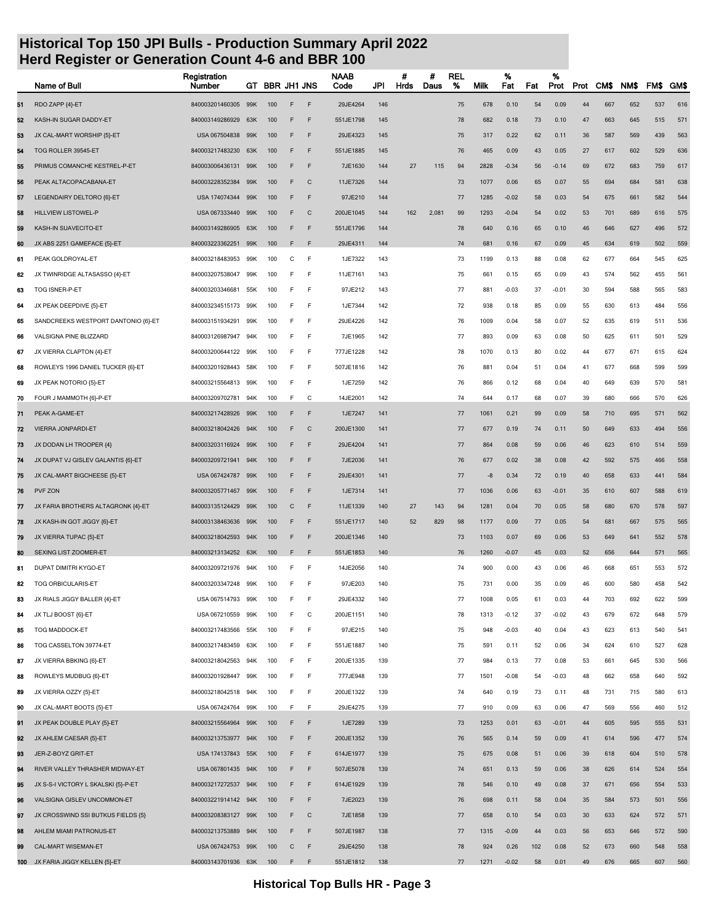|    | Name of Bull                        | Registration<br>Number | GT  | <b>BBR JH1 JNS</b> |   |              | NAAB<br>Code | JPI | #<br>Hrds | #<br>Daus | <b>REL</b><br>% | Milk | %<br>Fat | Fat | %<br>Prot | Prot | CM\$ | NM\$ | FM\$ | <b>GMS</b> |
|----|-------------------------------------|------------------------|-----|--------------------|---|--------------|--------------|-----|-----------|-----------|-----------------|------|----------|-----|-----------|------|------|------|------|------------|
| 51 | RDO ZAPP {4}-ET                     | 840003201460305        | 99K | 100                | F | F            | 29JE4264     | 146 |           |           | 75              | 678  | 0.10     | 54  | 0.09      | 44   | 667  | 652  | 537  | 616        |
| 52 | KASH-IN SUGAR DADDY-ET              | 840003149286929        | 63K | 100                | F | F            | 551JE1798    | 145 |           |           | 78              | 682  | 0.18     | 73  | 0.10      | 47   | 663  | 645  | 515  | 571        |
| 53 | JX CAL-MART WORSHIP {5}-ET          | USA 067504838          | 99K | 100                | F | F            | 29JE4323     | 145 |           |           | 75              | 317  | 0.22     | 62  | 0.11      | 36   | 587  | 569  | 439  | 563        |
| 54 | TOG ROLLER 39545-ET                 | 840003217483230        | 63K | 100                | F | F            | 551JE1885    | 145 |           |           | 76              | 465  | 0.09     | 43  | 0.05      | 27   | 617  | 602  | 529  | 636        |
| 55 | PRIMUS COMANCHE KESTREL-P-ET        | 840003006436131        | 99K | 100                | F | F            | 7JE1630      | 144 | 27        | 115       | 94              | 2828 | $-0.34$  | 56  | $-0.14$   | 69   | 672  | 683  | 759  | 617        |
| 56 | PEAK ALTACOPACABANA-ET              | 840003228352384        | 99K | 100                | F | C            | 11JE7326     | 144 |           |           | 73              | 1077 | 0.06     | 65  | 0.07      | 55   | 694  | 684  | 581  | 638        |
| 57 | LEGENDAIRY DELTORO {6}-ET           | USA 174074344          | 99K | 100                | F | F            | 97JE210      | 144 |           |           | 77              | 1285 | $-0.02$  | 58  | 0.03      | 54   | 675  | 661  | 582  | 544        |
| 58 | <b>HILLVIEW LISTOWEL-P</b>          | USA 067333440          | 99K | 100                | F | $\mathsf{C}$ | 200JE1045    | 144 | 162       | 2,081     | 99              | 1293 | $-0.04$  | 54  | 0.02      | 53   | 701  | 689  | 616  | 575        |
| 59 | KASH-IN SUAVECITO-ET                | 840003149286905        | 63K | 100                | F | F            | 551JE1796    | 144 |           |           | 78              | 640  | 0.16     | 65  | 0.10      | 46   | 646  | 627  | 496  | 572        |
| 60 | JX ABS 2251 GAMEFACE {5}-ET         | 840003223362251        | 99K | 100                | F | F            | 29JE4311     | 144 |           |           | 74              | 681  | 0.16     | 67  | 0.09      | 45   | 634  | 619  | 502  | 559        |
| 61 | PEAK GOLDROYAL-ET                   | 840003218483953        | 99K | 100                | C | F            | 1JE7322      | 143 |           |           | 73              | 1199 | 0.13     | 88  | 0.08      | 62   | 677  | 664  | 545  | 625        |
| 62 | JX TWINRIDGE ALTASASSO {4}-ET       | 840003207538047        | 99K | 100                | E | F            | 11JE7161     | 143 |           |           | 75              | 661  | 0.15     | 65  | 0.09      | 43   | 574  | 562  | 455  | 561        |
| 63 | TOG ISNER-P-ET                      | 840003203346681        | 55K | 100                | F | F            | 97JE212      | 143 |           |           | 77              | 881  | $-0.03$  | 37  | $-0.01$   | 30   | 594  | 588  | 565  | 583        |
| 64 | JX PEAK DEEPDIVE {5}-ET             | 840003234515173        | 99K | 100                | F | F            | 1JE7344      | 142 |           |           | 72              | 938  | 0.18     | 85  | 0.09      | 55   | 630  | 613  | 484  | 556        |
| 65 | SANDCREEKS WESTPORT DANTONIO {6}-ET | 840003151934291        | 99K | 100                | F | F            | 29JE4226     | 142 |           |           | 76              | 1009 | 0.04     | 58  | 0.07      | 52   | 635  | 619  | 511  | 536        |
| 66 | VALSIGNA PINE BLIZZARD              | 840003126987947        | 94K | 100                | F | F            | 7JE1965      | 142 |           |           | 77              | 893  | 0.09     | 63  | 0.08      | 50   | 625  | 611  | 501  | 529        |
| 67 | JX VIERRA CLAPTON {4}-ET            | 840003200644122        | 99K | 100                | F | F            | 777JE1228    | 142 |           |           | 78              | 1070 | 0.13     | 80  | 0.02      | 44   | 677  | 671  | 615  | 624        |
| 68 | ROWLEYS 1996 DANIEL TUCKER {6}-ET   | 840003201928443        | 58K | 100                | F | F            | 507JE1816    | 142 |           |           | 76              | 881  | 0.04     | 51  | 0.04      | 41   | 677  | 668  | 599  | 599        |
| 69 | JX PEAK NOTORIO {5}-ET              | 840003215564813 99K    |     | 100                | E | F            | 1JE7259      | 142 |           |           | 76              | 866  | 0.12     | 68  | 0.04      | 40   | 649  | 639  | 570  | 581        |
| 70 | FOUR J MAMMOTH {6}-P-ET             | 840003209702781        | 94K | 100                | E | C            | 14JE2001     | 142 |           |           | 74              | 644  | 0.17     | 68  | 0.07      | 39   | 680  | 666  | 570  | 626        |
| 71 | PEAK A-GAME-ET                      | 840003217428926        | 99K | 100                | F | F            | 1JE7247      | 141 |           |           | 77              | 1061 | 0.21     | 99  | 0.09      | 58   | 710  | 695  | 571  | 562        |
| 72 | <b>VIERRA JONPARDI-ET</b>           | 840003218042426        | 94K | 100                | F | C            | 200JE1300    | 141 |           |           | 77              | 677  | 0.19     | 74  | 0.11      | 50   | 649  | 633  | 494  | 556        |
| 73 | JX DODAN LH TROOPER {4}             | 840003203116924        | 99K | 100                | F | F            | 29JE4204     | 141 |           |           | 77              | 864  | 0.08     | 59  | 0.06      | 46   | 623  | 610  | 514  | 559        |
| 74 | JX DUPAT VJ GISLEV GALANTIS {6}-ET  | 840003209721941        | 94K | 100                | F | F            | 7JE2036      | 141 |           |           | 76              | 677  | 0.02     | 38  | 0.08      | 42   | 592  | 575  | 466  | 558        |
| 75 | JX CAL-MART BIGCHEESE {5}-ET        | USA 067424787          | 99K | 100                | F | F            | 29JE4301     | 141 |           |           | 77              | -8   | 0.34     | 72  | 0.19      | 40   | 658  | 633  | 441  | 584        |
| 76 | PVF ZON                             | 840003205771467        | 99K | 100                | F | F            | 1JE7314      | 141 |           |           | 77              | 1036 | 0.06     | 63  | $-0.01$   | 35   | 610  | 607  | 588  | 619        |
| 77 | JX FARIA BROTHERS ALTAGRONK {4}-ET  | 840003135124429        | 99K | 100                | C | F            | 11JE1339     | 140 | 27        | 143       | 94              | 1281 | 0.04     | 70  | 0.05      | 58   | 680  | 670  | 578  | 597        |
| 78 | JX KASH-IN GOT JIGGY {6}-ET         | 840003138463636 99K    |     | 100                | F | F            | 551JE1717    | 140 | 52        | 829       | 98              | 1177 | 0.09     | 77  | 0.05      | 54   | 681  | 667  | 575  | 565        |
| 79 | JX VIERRA TUPAC {5}-ET              | 840003218042593        | 94K | 100                | F | F            | 200JE1346    | 140 |           |           | 73              | 1103 | 0.07     | 69  | 0.06      | 53   | 649  | 641  | 552  | 578        |
| 80 | SEXING LIST ZOOMER-ET               | 840003213134252        | 63K | 100                | F | F            | 551JE1853    | 140 |           |           | 76              | 1260 | $-0.07$  | 45  | 0.03      | 52   | 656  | 644  | 571  | 565        |
| 81 | DUPAT DIMITRI KYGO-ET               | 840003209721976        | 94K | 100                | F | F            | 14JE2056     | 140 |           |           | 74              | 900  | 0.00     | 43  | 0.06      | 46   | 668  | 651  | 553  | 572        |
| 82 | <b>TOG ORBICULARIS-ET</b>           | 840003203347248        | 99K | 100                | F | F            | 97JE203      | 140 |           |           | 75              | 731  | 0.00     | 35  | 0.09      | 46   | 600  | 580  | 458  | 542        |
| 83 | JX RIALS JIGGY BALLER {4}-ET        | USA 067514793 99K      |     | 100                | F | F            | 29JE4332     | 140 |           |           | 77              | 1008 | 0.05     | 61  | 0.03      | 44   | 703  | 692  | 622  | 599        |
| 84 | JX TLJ BOOST {6}-ET                 | USA 067210559          | 99K | 100                | F | C            | 200JE1151    | 140 |           |           | 78              | 1313 | $-0.12$  | 37  | $-0.02$   | 43   | 679  | 672  | 648  | 579        |
| 85 | TOG MADDOCK-ET                      | 840003217483566        | 55K | 100                | E | F            | 97JE215      | 140 |           |           | 75              | 948  | $-0.03$  | 40  | 0.04      | 43   | 623  | 613  | 540  | 541        |
| 86 | TOG CASSELTON 39774-ET              | 840003217483459        | 63K | 100                | F | F            | 551JE1887    | 140 |           |           | 75              | 591  | 0.11     | 52  | 0.06      | 34   | 624  | 610  | 527  | 628        |
| 87 | JX VIERRA BBKING {6}-ET             | 840003218042563        | 94K | 100                | E | F            | 200JE1335    | 139 |           |           | 77              | 984  | 0.13     | 77  | 0.08      | 53   | 661  | 645  | 530  | 566        |
| 88 | ROWLEYS MUDBUG {6}-ET               | 840003201928447        | 99K | 100                | E | F            | 777JE948     | 139 |           |           | 77              | 1501 | $-0.08$  | 54  | $-0.03$   | 48   | 662  | 658  | 640  | 592        |
| 89 | JX VIERRA OZZY {5}-ET               | 840003218042518        | 94K | 100                | E | F            | 200JE1322    | 139 |           |           | 74              | 640  | 0.19     | 73  | 0.11      | 48   | 731  | 715  | 580  | 613        |
| 90 | JX CAL-MART BOOTS {5}-ET            | USA 067424764          | 99K | 100                | E | F            | 29JE4275     | 139 |           |           | 77              | 910  | 0.09     | 63  | 0.06      | 47   | 569  | 556  | 460  | 512        |
| 91 | JX PEAK DOUBLE PLAY {5}-ET          | 840003215564964        | 99K | 100                | F | F            | 1JE7289      | 139 |           |           | 73              | 1253 | 0.01     | 63  | $-0.01$   | 44   | 605  | 595  | 555  | 531        |
| 92 | JX AHLEM CAESAR {5}-ET              | 840003213753977 94K    |     | 100                | F | F            | 200JE1352    | 139 |           |           | 76              | 565  | 0.14     | 59  | 0.09      | 41   | 614  | 596  | 477  | 574        |
| 93 | JER-Z-BOYZ GRIT-ET                  | USA 174137843 55K      |     | 100                | F | F            | 614JE1977    | 139 |           |           | 75              | 675  | 0.08     | 51  | 0.06      | 39   | 618  | 604  | 510  | 578        |
| 94 | RIVER VALLEY THRASHER MIDWAY-ET     | USA 067801435 94K      |     | 100                | F | F            | 507JE5078    | 139 |           |           | 74              | 651  | 0.13     | 59  | 0.06      | 38   | 626  | 614  | 524  | 554        |
| 95 | JX S-S-I VICTORY L SKALSKI {5}-P-ET | 840003217272537        | 94K | 100                | F | F            | 614JE1929    | 139 |           |           | 78              | 546  | 0.10     | 49  | 0.08      | 37   | 671  | 656  | 554  | 533        |
| 96 | VALSIGNA GISLEV UNCOMMON-ET         | 840003221914142 94K    |     | 100                | F | F            | 7JE2023      | 139 |           |           | 76              | 698  | 0.11     | 58  | 0.04      | 35   | 584  | 573  | 501  | 556        |
| 97 | JX CROSSWIND SSI BUTKUS FIELDS {5}  | 840003208383127 99K    |     | 100                | F | $\mathsf{C}$ | 7JE1858      | 139 |           |           | 77              | 658  | 0.10     | 54  | 0.03      | 30   | 633  | 624  | 572  | 571        |
| 98 | AHLEM MIAMI PATRONUS-ET             | 840003213753889        | 94K | 100                | F | F            | 507JE1987    | 138 |           |           | 77              | 1315 | $-0.09$  | 44  | 0.03      | 56   | 653  | 646  | 572  | 590        |
| 99 | CAL-MART WISEMAN-ET                 | USA 067424753 99K      |     | 100                | C | F            | 29JE4250     | 138 |           |           | 78              | 924  | 0.26     | 102 | 0.08      | 52   | 673  | 660  | 548  | 558        |
|    | 100 JX FARIA JIGGY KELLEN {5}-ET    | 840003143701936 63K    |     | 100                | F | F            | 551JE1812    | 138 |           |           | 77              | 1271 | $-0.02$  | 58  | 0.01      | 49   | 676  | 665  | 607  | 560        |
|    |                                     |                        |     |                    |   |              |              |     |           |           |                 |      |          |     |           |      |      |      |      |            |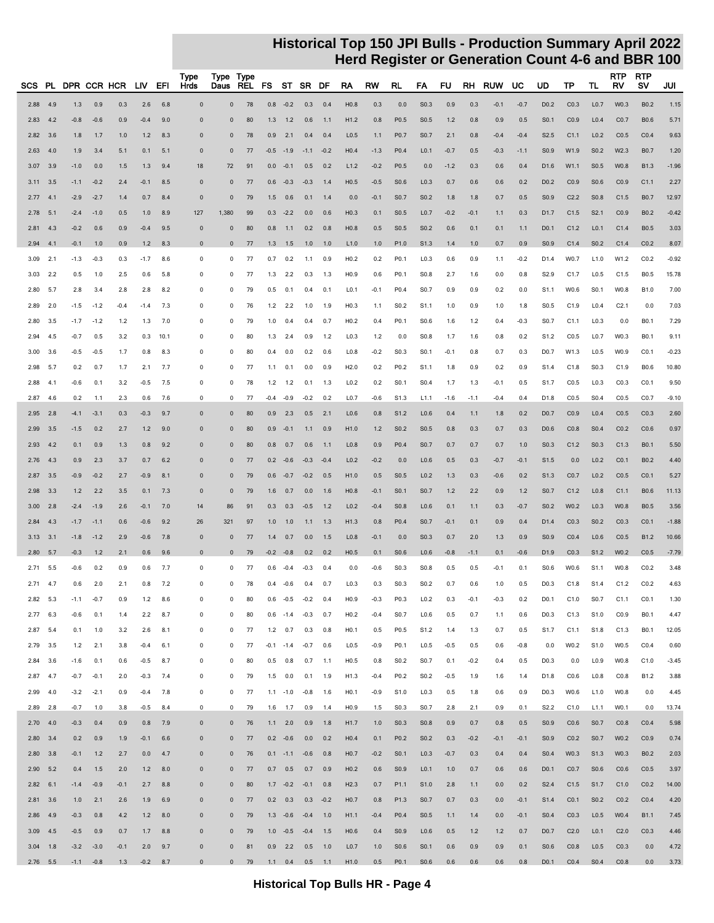|              |              | SCS PL DPR CCR HCR |               |            | LIV.          | EFI        | Type<br>Hrds             | Type Type<br>Daus           | REL      | FS         |                 | ST SR DF            |            | RA                       | RW            | RL                                   | FA                                   | <b>FU</b>  | RH         | <b>RUW</b> | UC         | UD                                   | ТP               | TL                                   | <b>RTP</b><br><b>RV</b> | RTP<br>s٧           | JUI           |
|--------------|--------------|--------------------|---------------|------------|---------------|------------|--------------------------|-----------------------------|----------|------------|-----------------|---------------------|------------|--------------------------|---------------|--------------------------------------|--------------------------------------|------------|------------|------------|------------|--------------------------------------|------------------|--------------------------------------|-------------------------|---------------------|---------------|
|              |              |                    |               |            |               |            |                          |                             |          |            |                 |                     |            |                          |               |                                      |                                      |            |            |            |            |                                      |                  |                                      |                         |                     |               |
| 2.88         | 4.9          | 1.3                | 0.9           | 0.3        | 2.6           | 6.8        | $\mathbf 0$              | $\pmb{0}$                   | 78       |            | $0.8 - 0.2$     | 0.3                 | 0.4        | H <sub>0.8</sub>         | 0.3           | 0.0                                  | S0.3                                 | 0.9        | 0.3        | $-0.1$     | $-0.7$     | D <sub>0.2</sub>                     | CO.3             | L <sub>0.7</sub>                     | W0.3                    | B0.2                | 1.15          |
| 2.83         | 4.2          | $-0.8$             | $-0.6$        | 0.9        | $-0.4$        | 9.0        | $\Omega$                 | $\mathbf 0$                 | 80       | 1.3        | 1.2             | 0.6                 | 1.1        | H1.2                     | 0.8           | P <sub>0.5</sub>                     | S0.5                                 | 1.2        | 0.8        | 0.9        | 0.5        | S <sub>0.1</sub>                     | CO.9             | L <sub>0.4</sub>                     | CO.7                    | <b>B0.6</b>         | 5.71          |
| 2.82         | 3.6          | 1.8                | 1.7           | 1.0        | 1.2           | 8.3        | $\Omega$                 | $\mathbf 0$                 | 78       | 0.9        | 2.1             | 0.4                 | 0.4        | L <sub>0.5</sub>         | 1.1           | P <sub>0.7</sub>                     | S <sub>0.7</sub>                     | 2.1        | 0.8        | $-0.4$     | $-0.4$     | S <sub>2.5</sub>                     | C1.1             | L <sub>0.2</sub>                     | CO.5                    | CO.4                | 9.63          |
| 2.63         | 4.0          | 1.9                | 3.4           | 5.1        | 0.1           | 5.1        | $\Omega$                 | $\mathbf 0$                 | 77       | $-0.5$     | $-1.9$          | $-1.1 - 0.2$        |            | H <sub>0.4</sub>         | $-1.3$        | P <sub>0.4</sub>                     | L <sub>0.1</sub>                     | $-0.7$     | 0.5        | $-0.3$     | $-1.1$     | S <sub>0.9</sub>                     | W1.9             | S <sub>0.2</sub>                     | W2.3                    | <b>B0.7</b>         | 1.20          |
| 3.07         | 3.9          | $-1.0$             | 0.0           | 1.5        | 1.3           | 9.4        | 18                       | 72                          | 91       | 0.0        | $-0.1$          | 0.5                 | 0.2        | L1.2                     | $-0.2$        | P0.5                                 | 0.0                                  | $-1.2$     | 0.3        | 0.6        | 0.4        | D1.6                                 | W1.1             | S <sub>0.5</sub>                     | W0.8                    | <b>B1.3</b>         | $-1.96$       |
| 3.11         | 3.5          | $-1.1$             | $-0.2$        | 2.4        | $-0.1$        | 8.5        | $\mathbf 0$              | $\mathbf 0$                 | 77       | 0.6        | $-0.3$          | $-0.3$              | 1.4        | H0.5                     | $-0.5$        | S <sub>0.6</sub>                     | L <sub>0.3</sub>                     | 0.7        | 0.6        | 0.6        | 0.2        | D <sub>0.2</sub>                     | CO.9             | S <sub>0.6</sub>                     | CO.9                    | C1.1                | 2.27          |
| 2.77         | 4.1          | $-2.9$             | $-2.7$        | 1.4        | 0.7           | 8.4        | $\Omega$                 | $\mathbf 0$                 | 79       | 1.5        | 0.6             | 0.1                 | 1.4        | 0.0                      | $-0.1$        | S <sub>0.7</sub>                     | S <sub>0.2</sub>                     | 1.8        | 1.8        | 0.7        | 0.5        | S <sub>0.9</sub>                     | C <sub>2.2</sub> | S <sub>0.8</sub>                     | C1.5                    | <b>B0.7</b>         | 12.97         |
| 2.78         | 5.1          | $-2.4$             | $-1.0$        | 0.5        | 1.0           | 8.9        | 127                      | 1,380                       | 99       | 0.3        | $-2.2$          | 0.0                 | 0.6        | H <sub>0.3</sub>         | 0.1           | S <sub>0.5</sub>                     | L <sub>0.7</sub>                     | $-0.2$     | $-0.1$     | 1.1        | 0.3        | D1.7                                 | C1.5             | S2.1                                 | CO.9                    | B0.2                | $-0.42$       |
| 2.81         | 4.3          | $-0.2$             | 0.6           | 0.9        | $-0.4$        | 9.5        | $\mathbf{0}$             | $\mathbf 0$                 | 80       | 0.8        | 1.1             | 0.2                 | 0.8        | H <sub>0.8</sub>         | 0.5           | S <sub>0.5</sub>                     | S <sub>0.2</sub>                     | 0.6        | 0.1        | 0.1        | 1.1        | D <sub>0.1</sub>                     | C1.2             | L <sub>0.1</sub>                     | C1.4                    | <b>B0.5</b>         | 3.03          |
| 2.94         | 4.1          | $-0.1$             | 1.0           | 0.9        | 1.2           | 8.3        | $\mathbf 0$              | $\mathbf 0$                 | 77       | 1.3        | 1.5             | 1.0                 | 1.0        | L1.0                     | 1.0           | P <sub>1.0</sub>                     | S1.3                                 | 1.4        | 1.0        | 0.7        | 0.9        | S <sub>0.9</sub>                     | C1.4             | S <sub>0.2</sub>                     | C1.4                    | CO.2                | 8.07          |
| 3.09         | 2.1          | $-1.3$             | $-0.3$        | 0.3        | $-1.7$        | 8.6        | 0                        | 0                           | 77       | 0.7        | 0.2             | 1.1                 | 0.9        | H <sub>0.2</sub>         | 0.2           | P <sub>0.1</sub>                     | L <sub>0.3</sub>                     | 0.6        | 0.9        | 1.1        | $-0.2$     | D1.4                                 | W0.7             | L1.0                                 | W1.2                    | CO.2                | $-0.92$       |
| 3.03         | 2.2          | 0.5                | 1.0           | 2.5        | 0.6           | 5.8        | 0                        | 0                           | 77       | 1.3        | 2.2             | 0.3                 | 1.3        | H <sub>0.9</sub>         | 0.6           | P <sub>0.1</sub>                     | S <sub>0.8</sub>                     | 2.7        | 1.6        | 0.0        | 0.8        | S <sub>2.9</sub>                     | C <sub>1.7</sub> | L <sub>0.5</sub>                     | C1.5                    | B0.5                | 15.78         |
| 2.80         | 5.7          | 2.8                | 3.4           | 2.8        | 2.8           | 8.2        | $\mathbf 0$              | 0                           | 79       | 0.5        | 0.1             | 0.4                 | 0.1        | L <sub>0.1</sub>         | $-0.1$        | P <sub>0.4</sub>                     | S <sub>0.7</sub>                     | 0.9        | 0.9        | 0.2        | 0.0        | S <sub>1.1</sub>                     | W0.6             | S <sub>0.1</sub>                     | W0.8                    | B1.0                | 7.00          |
| 2.89         | 2.0          | $-1.5$             | $-1.2$        | $-0.4$     | $-1.4$        | 7.3        | $\mathbf 0$              | 0                           | 76       | 1.2        | 2.2             | 1.0                 | 1.9        | H <sub>0.3</sub>         | 1.1           | S <sub>0.2</sub>                     | S <sub>1.1</sub>                     | 1.0        | 0.9        | 1.0        | 1.8        | S <sub>0.5</sub>                     | C1.9             | L0.4                                 | C <sub>2.1</sub>        | 0.0                 | 7.03          |
| 2.80         | 3.5          | $-1.7$             | $-1.2$        | 1.2        | 1.3           | 7.0        | $\mathbf 0$              | 0                           | 79       | 1.0        | 0.4             | 0.4                 | 0.7        | H <sub>0.2</sub>         | 0.4           | P0.1                                 | S <sub>0.6</sub>                     | 1.6        | 1.2        | 0.4        | $-0.3$     | S <sub>0.7</sub>                     | C1.1             | L <sub>0.3</sub>                     | 0.0                     | B <sub>0.1</sub>    | 7.29          |
| 2.94         | 4.5          | $-0.7$             | 0.5           | 3.2        | 0.3           | 10.1       | $\mathbf 0$              | 0                           | 80       | 1.3        | 2.4             | 0.9                 | 1.2        | L <sub>0.3</sub>         | 1.2           | 0.0                                  | S <sub>0.8</sub>                     | 1.7        | 1.6        | 0.8        | 0.2        | S <sub>1.2</sub>                     | CO.5             | L <sub>0.7</sub>                     | W0.3                    | B <sub>0.1</sub>    | 9.11          |
| 3.00         | 3.6          | $-0.5$             | $-0.5$        | 1.7        | 0.8           | 8.3        | $\mathbf 0$              | $\mathbf 0$                 | 80       | 0.4        | 0.0             | 0.2                 | 0.6        | L <sub>0.8</sub>         | $-0.2$        | S <sub>0.3</sub>                     | S <sub>0.1</sub>                     | $-0.1$     | 0.8        | 0.7        | 0.3        | D <sub>0.7</sub>                     | W1.3             | L <sub>0.5</sub>                     | W0.9                    | CO.1                | $-0.23$       |
| 2.98         | 5.7          | 0.2                | 0.7           | 1.7        | 2.1           | 7.7        | $\mathbf 0$              | 0                           | 77       | 1.1        | 0.1             | 0.0                 | 0.9        | H2.0                     | 0.2           | P <sub>0.2</sub>                     | S1.1                                 | 1.8        | 0.9        | 0.2        | 0.9        | S <sub>1.4</sub>                     | C1.8             | S <sub>0.3</sub>                     | C1.9                    | B0.6                | 10.80         |
| 2.88         | 4.1          | $-0.6$             | 0.1           | 3.2        | -0.5          | 7.5        | $\mathbf 0$              | 0                           | 78       | $1.2$      | 1.2             | 0.1                 | 1.3        | L <sub>0.2</sub>         | 0.2           | S <sub>0.1</sub>                     | S <sub>0.4</sub>                     | 1.7        | 1.3        | $-0.1$     | 0.5        | S <sub>1.7</sub>                     | CO.5             | L <sub>0.3</sub>                     | CO.3                    | CO.1                | 9.50          |
| 2.87         | 4.6          | 0.2                | 1.1           | 2.3        | 0.6           | 7.6        | $\mathbf 0$              | 0                           | 77       | $-0.4$     | $-0.9$          | $-0.2$              | 0.2        | L <sub>0.7</sub>         | $-0.6$        | S1.3                                 | L1.1                                 | $-1.6$     | $-1.1$     | $-0.4$     | 0.4        | D1.8                                 | CO.5             | S <sub>0.4</sub>                     | C <sub>0.5</sub>        | CO.7                | $-9.10$       |
| 2.95         | 2.8          | $-4.1$             | $-3.1$        | 0.3        | $-0.3$        | 9.7        | $\Omega$                 | $\mathbf 0$                 | 80       | 0.9        | 2.3             | 0.5                 | 2.1        | L <sub>0.6</sub>         | 0.8           | S1.2                                 | L <sub>0.6</sub>                     | 0.4        | 1.1        | 1.8        | 0.2        | D <sub>0.7</sub>                     | CO.9             | L <sub>0.4</sub>                     | CO.5                    | CO.3                | 2.60          |
| 2.99<br>2.93 | 3.5          | $-1.5$             | 0.2<br>0.9    | 2.7        | 1.2           | 9.0        | $\mathbf{0}$<br>$\Omega$ | $\mathbf 0$<br>$\mathbf{0}$ | 80       | 0.9        | $-0.1$          | 1.1                 | 0.9        | H1.0<br>L <sub>0.8</sub> | $1.2$         | S <sub>0.2</sub><br>P0.4             | S <sub>0.5</sub><br>S <sub>0.7</sub> | 0.8        | 0.3<br>0.7 | 0.7        | 0.3        | D <sub>0.6</sub><br>S <sub>0.3</sub> | CO.8<br>C1.2     | S <sub>0.4</sub><br>S <sub>0.3</sub> | CO.2<br>C1.3            | CO.6<br><b>B0.1</b> | 0.97<br>5.50  |
|              | 4.2          | 0.1                |               | 1.3        | 0.8           | 9.2        |                          |                             | 80       | 0.8        | 0.7             | 0.6                 | 1.1        |                          | 0.9           |                                      |                                      | 0.7        |            | 0.7        | 1.0        |                                      |                  |                                      |                         |                     |               |
| 2.76         | 4.3          | 0.9                | 2.3           | 3.7        | 0.7           | 6.2        | $\mathbf 0$              | $\mathbf 0$                 | 77       | 0.2        | $-0.6$          | $-0.3$              | $-0.4$     | L <sub>0.2</sub><br>H1.0 | $-0.2$        | 0.0                                  | L <sub>0.6</sub>                     | 0.5        | 0.3        | $-0.7$     | $-0.1$     | S1.5                                 | 0.0              | L <sub>0.2</sub>                     | CO.1                    | B0.2                | 4.40          |
| 2.87<br>2.98 | 3.5<br>3.3   | $-0.9$<br>$1.2$    | $-0.2$<br>2.2 | 2.7<br>3.5 | $-0.9$<br>0.1 | 8.1        | $\mathbf{0}$             | $\mathbf 0$<br>$\mathbf 0$  | 79<br>79 | 0.6<br>1.6 | $-0.7$<br>0.7   | $-0.2$<br>0.0       | 0.5        | H <sub>0.8</sub>         | 0.5<br>$-0.1$ | S <sub>0.5</sub><br>S <sub>0.1</sub> | L <sub>0.2</sub><br>S <sub>0.7</sub> | 1.3<br>1.2 | 0.3<br>2.2 | $-0.6$     | 0.2<br>1.2 | S <sub>1.3</sub><br>S <sub>0.7</sub> | CO.7<br>C1.2     | L <sub>0.2</sub><br>L <sub>0.8</sub> | CO.5<br>C1.1            | CO.1<br><b>B0.6</b> | 5.27<br>11.13 |
| 3.00         | 2.8          | $-2.4$             | $-1.9$        | 2.6        | $-0.1$        | 7.3<br>7.0 |                          | 86                          | 91       | 0.3        | 0.3             | $-0.5$              | 1.6<br>1.2 | L <sub>0.2</sub>         | $-0.4$        | S0.8                                 | L <sub>0.6</sub>                     | 0.1        | 1.1        | 0.9<br>0.3 | $-0.7$     | S <sub>0.2</sub>                     | W0.2             | L <sub>0.3</sub>                     | W0.8                    | <b>B0.5</b>         | 3.56          |
| 2.84         | 4.3          | $-1.7$             | $-1.1$        | 0.6        | $-0.6$        | 9.2        | 14<br>26                 | 321                         | 97       | 1.0        | 1.0             | 1.1                 | 1.3        | H1.3                     | 0.8           | P <sub>0.4</sub>                     | S <sub>0.7</sub>                     | $-0.1$     | 0.1        | 0.9        | 0.4        | D1.4                                 | CO.3             | S <sub>0.2</sub>                     | CO.3                    | CO.1                | $-1.88$       |
| 3.13         | 3.1          | $-1.8$             | $-1.2$        | 2.9        | $-0.6$        | 7.8        | $\mathbf{0}$             | $\mathbf 0$                 | 77       | 1.4        | 0.7             | 0.0                 | 1.5        | L <sub>0.8</sub>         | $-0.1$        | 0.0                                  | S <sub>0.3</sub>                     | 0.7        | 2.0        | 1.3        | 0.9        | S <sub>0.9</sub>                     | CO.4             | L <sub>0.6</sub>                     | CO.5                    | B1.2                | 10.66         |
| 2.80         | 5.7          | $-0.3$             | 1.2           | 2.1        | 0.6           | 9.6        | $\mathbf 0$              | $\mathbf 0$                 | 79       | $-0.2$     | $-0.8$          | 0.2                 | 0.2        | H0.5                     | 0.1           | S0.6                                 | L <sub>0.6</sub>                     | $-0.8$     | $-1.1$     | 0.1        | $-0.6$     | D1.9                                 | CO.3             | S <sub>1.2</sub>                     | W0.2                    | CO.5                | $-7.79$       |
| 2.71         | 5.5          | $-0.6$             | 0.2           | 0.9        | 0.6           | 7.7        | $\mathbf 0$              | 0                           | 77       | 0.6        | $-0.4$          | $-0.3$              | 0.4        | 0.0                      | -0.6          | S <sub>0.3</sub>                     | S <sub>0.8</sub>                     | 0.5        | 0.5        | $-0.1$     | 0.1        | S <sub>0.6</sub>                     | W0.6             | S <sub>1.1</sub>                     | W0.8                    | CO.2                | 3.48          |
| $2.71$ 4.7   |              | 0.6                | 2.0           | 2.1        | 0.8           | 7.2        | 0                        | 0                           | 78       | 0.4        | $-0.6$          | 0.4                 | 0.7        | L <sub>0.3</sub>         | 0.3           | S <sub>0.3</sub>                     | S <sub>0.2</sub>                     | 0.7        | 0.6        | 1.0        | 0.5        | D <sub>0.3</sub>                     | C1.8             | S <sub>1.4</sub>                     | C1.2                    | CO.2                | 4.63          |
|              | $2.82$ 5.3   | $-1.1$             | $-0.7$        | 0.9        | 1.2           | 8.6        | 0                        | 0                           | 80       |            |                 | $0.6 -0.5 -0.2 0.4$ |            | H0.9                     | $-0.3$        | P0.3                                 | L0.2                                 | 0.3        | $-0.1$     | $-0.3$     | 0.2        | D <sub>0</sub> .1                    | C1.0             | S0.7                                 | C1.1                    | CO.1                | 1.30          |
|              | 2.776.3      | $-0.6$             | 0.1           | 1.4        | 2.2           | 8.7        | 0                        | 0                           | 80       |            |                 | $0.6 -1.4 -0.3$     | 0.7        | H <sub>0.2</sub>         | $-0.4$        | S0.7                                 | L <sub>0.6</sub>                     | 0.5        | 0.7        | 1.1        | 0.6        | D <sub>0.3</sub>                     | C1.3             | S1.0                                 | CO.9                    | B0.1                | 4.47          |
|              | 2.87 5.4     | 0.1                | 1.0           | 3.2        | 2.6           | 8.1        | $\pmb{0}$                | 0                           | 77       |            | $1.2\quad 0.7$  | 0.3                 | 0.8        | H0.1                     | 0.5           | P0.5                                 | S <sub>1.2</sub>                     | 1.4        | 1.3        | 0.7        | 0.5        | S1.7                                 | C1.1             | S1.8                                 | C1.3                    | <b>B0.1</b>         | 12.05         |
|              | 2.79 3.5     | 1.2                | 2.1           | 3.8        | $-0.4$        | 6.1        | $\pmb{0}$                | 0                           | 77       |            | $-0.1 - 1.4$    | $-0.7$              | 0.6        | L <sub>0.5</sub>         | $-0.9$        | P0.1                                 | L <sub>0.5</sub>                     | $-0.5$     | 0.5        | 0.6        | $-0.8$     | 0.0                                  | W0.2             | S1.0                                 | W0.5                    | CO.4                | 0.60          |
|              | 2.84 3.6     | $-1.6$             | 0.1           | 0.6        | $-0.5$        | 8.7        | 0                        | 0                           | 80       |            | 0.5 0.8         |                     | $0.7$ 1.1  | H <sub>0.5</sub>         | 0.8           | S <sub>0.2</sub>                     | S0.7                                 | 0.1        | $-0.2$     | 0.4        | 0.5        | D <sub>0.3</sub>                     | 0.0              | L <sub>0.9</sub>                     | W0.8                    | C1.0                | $-3.45$       |
| $2.87$ 4.7   |              | $-0.7$             | $-0.1$        | 2.0        | $-0.3$        | 7.4        | 0                        | 0                           | 79       |            | $1.5\qquad 0.0$ | 0.1                 | 1.9        | H1.3                     | $-0.4$        | P0.2                                 | S0.2                                 | $-0.5$     | 1.9        | 1.6        | 1.4        | D1.8                                 | CO.6             | L <sub>0.8</sub>                     | CO.8                    | B1.2                | 3.88          |
|              | 2.99 4.0     | $-3.2$             | $-2.1$        | 0.9        | $-0.4$        | 7.8        | 0                        | 0                           | 77       |            | $1.1 - 1.0$     | $-0.8$              | 1.6        | H <sub>0.1</sub>         | $-0.9$        | S1.0                                 | L <sub>0.3</sub>                     | 0.5        | 1.8        | 0.6        | 0.9        | D <sub>0.3</sub>                     | W0.6             | L1.0                                 | W0.8                    | 0.0                 | 4.45          |
|              | 2.89 2.8     | $-0.7$             | 1.0           | 3.8        | $-0.5$        | 8.4        | $\mathbf 0$              | 0                           | 79       |            | $1.6$ 1.7       | 0.9                 | 1.4        | H <sub>0.9</sub>         | 1.5           | S <sub>0.3</sub>                     | S0.7                                 | 2.8        | 2.1        | 0.9        | 0.1        | S <sub>2.2</sub>                     | C1.0             | L <sub>1.1</sub>                     | W0.1                    | 0.0                 | 13.74         |
|              | $2.70$ 4.0   | $-0.3$             | 0.4           | 0.9        | 0.8           | 7.9        | $\pmb{0}$                | $\bf{0}$                    | 76       |            | 1.1 2.0         | 0.9                 | 1.8        | H1.7                     | 1.0           | S <sub>0.3</sub>                     | S0.8                                 | 0.9        | 0.7        | 0.8        | 0.5        | S <sub>0.9</sub>                     | CO.6             | S <sub>0.7</sub>                     | CO.8                    | CO.4                | 5.98          |
|              | $2.80$ 3.4   | 0.2                | 0.9           | 1.9        | $-0.1$        | 6.6        | $\mathbf 0$              | $\mathbf 0$                 | 77       |            | $0.2 -0.6$      | 0.0                 | 0.2        | H <sub>0.4</sub>         | 0.1           | P <sub>0.2</sub>                     | S <sub>0.2</sub>                     | 0.3        | $-0.2$     | $-0.1$     | $-0.1$     | S <sub>0.9</sub>                     | CO.2             | S <sub>0.7</sub>                     | W0.2                    | CO.9                | 0.74          |
|              | $2.80$ $3.8$ | $-0.1$             | $1.2$         | 2.7        | 0.0           | 4.7        | $\mathbf 0$              | $\bf{0}$                    | 76       |            |                 | $0.1 -1.1 -0.6$     | 0.8        | H <sub>0.7</sub>         | $-0.2$        | S <sub>0.1</sub>                     | L <sub>0.3</sub>                     | $-0.7$     | 0.3        | 0.4        | 0.4        | S <sub>0.4</sub>                     | W0.3             | S1.3                                 | W0.3                    | B <sub>0.2</sub>    | 2.03          |
|              | $2.90$ 5.2   | 0.4                | 1.5           | 2.0        | 1.2           | 8.0        | $\mathbf 0$              | $\bf{0}$                    | 77       |            | $0.7\quad 0.5$  | 0.7                 | 0.9        | H <sub>0.2</sub>         | 0.6           | S <sub>0.9</sub>                     | L <sub>0.1</sub>                     | 1.0        | 0.7        | 0.6        | 0.6        | D <sub>0.1</sub>                     | CO.7             | S <sub>0.6</sub>                     | CO.6                    | CO.5                | 3.97          |
|              | $2.82$ 6.1   | $-1.4$             | $-0.9$        | $-0.1$     | 2.7           | 8.8        | $\mathbf 0$              | $\mathbf 0$                 | 80       |            | $1.7 - 0.2$     | $-0.1$              | 0.8        | H2.3                     | 0.7           | P <sub>1.1</sub>                     | S <sub>1.0</sub>                     | 2.8        | 1.1        | 0.0        | 0.2        | S <sub>2.4</sub>                     | C1.5             | S <sub>1.7</sub>                     | C1.0                    | CO.2                | 14.00         |
|              | $2.81$ 3.6   | 1.0                | 2.1           | 2.6        | 1.9           | 6.9        | $\mathbf 0$              | $\bf{0}$                    | 77       |            | $0.2$ 0.3       |                     | $0.3 -0.2$ | H <sub>0.7</sub>         | 0.8           | P <sub>1.3</sub>                     | S <sub>0.7</sub>                     | 0.7        | 0.3        | 0.0        | $-0.1$     | S <sub>1.4</sub>                     | CO.1             | S <sub>0.2</sub>                     | CO.2                    | CO.4                | 4.20          |
|              | 2.86 4.9     | $-0.3$             | 0.8           | 4.2        | 1.2           | 8.0        | $\mathbf 0$              | $\bf{0}$                    | 79       |            |                 | $1.3 -0.6 -0.4 1.0$ |            | H1.1                     | $-0.4$        | P0.4                                 | S <sub>0.5</sub>                     | 1.1        | 1.4        | 0.0        | $-0.1$     | S <sub>0.4</sub>                     | CO.3             | L <sub>0.5</sub>                     | W0.4                    | B1.1                | 7.45          |
|              | $3.09$ 4.5   | $-0.5$             | 0.9           | 0.7        | 1.7           | 8.8        | $\mathbf 0$              | $\bf{0}$                    | 79       |            | $1.0 -0.5$      | $-0.4$              | 1.5        | H <sub>0.6</sub>         | 0.4           | S <sub>0.9</sub>                     | L <sub>0.6</sub>                     | 0.5        | $1.2$      | 1.2        | 0.7        | D <sub>0.7</sub>                     | C2.0             | L <sub>0.1</sub>                     | C <sub>2.0</sub>        | CO.3                | 4.46          |
|              | $3.04$ 1.8   | $-3.2$             | $-3.0$        | $-0.1$     | 2.0           | 9.7        | $\mathbf 0$              | $\mathbf 0$                 | 81       |            | $0.9$ 2.2       | 0.5                 | 1.0        | L <sub>0.7</sub>         | 1.0           | S <sub>0.6</sub>                     | S <sub>0.1</sub>                     | 0.6        | 0.9        | 0.9        | 0.1        | S0.6                                 | CO.8             | L <sub>0.5</sub>                     | CO.3                    | 0.0                 | 4.72          |
|              | $2.76$ 5.5   |                    | $-1.1 - 0.8$  | 1.3        |               | $-0.2$ 8.7 | $\mathbf 0$              |                             | $0$ 79   |            |                 | $1.1$ 0.4 0.5 1.1   |            | H <sub>1.0</sub>         | 0.5           | P <sub>0.1</sub>                     | S0.6                                 | 0.6        | 0.6        | 0.6        | 0.8        | D <sub>0.1</sub>                     | CO.4             | S <sub>0.4</sub>                     | CO.8                    | 0.0                 | 3.73          |
|              |              |                    |               |            |               |            |                          |                             |          |            |                 |                     |            |                          |               |                                      |                                      |            |            |            |            |                                      |                  |                                      |                         |                     |               |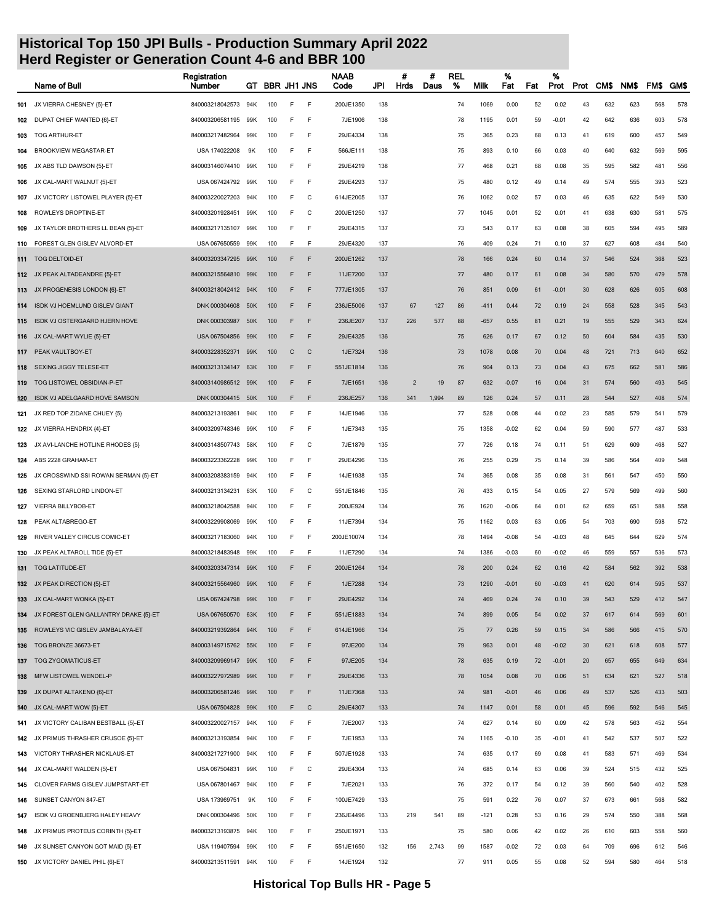|     | Name of Bull                          | Registration<br>Number | GT  | <b>BBR JH1 JNS</b> |   |              | NAAB<br>Code | JPI | #<br>Hrds      | #<br>Daus | <b>REL</b><br>% | Milk   | %<br>Fat | Fat | %<br>Prot | Prot | CM\$ | NM\$ | FM\$ | <b>GMS</b> |
|-----|---------------------------------------|------------------------|-----|--------------------|---|--------------|--------------|-----|----------------|-----------|-----------------|--------|----------|-----|-----------|------|------|------|------|------------|
| 101 | JX VIERRA CHESNEY {5}-ET              | 840003218042573        | 94K | 100                | E | F            | 200JE1350    | 138 |                |           | 74              | 1069   | 0.00     | 52  | 0.02      | 43   | 632  | 623  | 568  | 578        |
|     | 102 DUPAT CHIEF WANTED {6}-ET         | 840003206581195        | 99K | 100                | E | E            | 7JE1906      | 138 |                |           | 78              | 1195   | 0.01     | 59  | $-0.01$   | 42   | 642  | 636  | 603  | 578        |
| 103 | <b>TOG ARTHUR-ET</b>                  | 840003217482964        | 99K | 100                | E | E            | 29JE4334     | 138 |                |           | 75              | 365    | 0.23     | 68  | 0.13      | 41   | 619  | 600  | 457  | 549        |
| 104 | <b>BROOKVIEW MEGASTAR-ET</b>          | USA 174022208          | 9K  | 100                | E | E            | 566JE111     | 138 |                |           | 75              | 893    | 0.10     | 66  | 0.03      | 40   | 640  | 632  | 569  | 595        |
| 105 | JX ABS TLD DAWSON {5}-ET              | 840003146074410        | 99K | 100                | E | E            | 29JE4219     | 138 |                |           | 77              | 468    | 0.21     | 68  | 0.08      | 35   | 595  | 582  | 481  | 556        |
| 106 | JX CAL-MART WALNUT {5}-ET             | USA 067424792          | 99K | 100                | E | F            | 29JE4293     | 137 |                |           | 75              | 480    | 0.12     | 49  | 0.14      | 49   | 574  | 555  | 393  | 523        |
| 107 | JX VICTORY LISTOWEL PLAYER {5}-ET     | 840003220027203        | 94K | 100                | E | C            | 614JE2005    | 137 |                |           | 76              | 1062   | 0.02     | 57  | 0.03      | 46   | 635  | 622  | 549  | 530        |
| 108 | ROWLEYS DROPTINE-ET                   | 840003201928451        | 99K | 100                | E | C            | 200JE1250    | 137 |                |           | 77              | 1045   | 0.01     | 52  | 0.01      | 41   | 638  | 630  | 581  | 575        |
| 109 | JX TAYLOR BROTHERS LL BEAN {5}-ET     | 840003217135107        | 99K | 100                | E | E            | 29JE4315     | 137 |                |           | 73              | 543    | 0.17     | 63  | 0.08      | 38   | 605  | 594  | 495  | 589        |
| 110 | FOREST GLEN GISLEV ALVORD-ET          | USA 067650559          | 99K | 100                | F | E            | 29JE4320     | 137 |                |           | 76              | 409    | 0.24     | 71  | 0.10      | 37   | 627  | 608  | 484  | 540        |
| 111 | <b>TOG DELTOID-ET</b>                 | 840003203347295        | 99K | 100                | F | F            | 200JE1262    | 137 |                |           | 78              | 166    | 0.24     | 60  | 0.14      | 37   | 546  | 524  | 368  | 523        |
|     | 112 JX PEAK ALTADEANDRE {5}-ET        | 840003215564810        | 99K | 100                | F | F            | 11JE7200     | 137 |                |           | 77              | 480    | 0.17     | 61  | 0.08      | 34   | 580  | 570  | 479  | 578        |
|     | 113 JX PROGENESIS LONDON {6}-ET       | 840003218042412 94K    |     | 100                | F | E            | 777JE1305    | 137 |                |           | 76              | 851    | 0.09     | 61  | $-0.01$   | 30   | 628  | 626  | 605  | 608        |
| 114 | ISDK VJ HOEMLUND GISLEV GIANT         | DNK 000304608          | 50K | 100                | F | E            | 236JE5006    | 137 | 67             | 127       | 86              | $-411$ | 0.44     | 72  | 0.19      | 24   | 558  | 528  | 345  | 543        |
| 115 | ISDK VJ OSTERGAARD HJERN HOVE         | DNK 000303987          | 50K | 100                | F | F            | 236JE207     | 137 | 226            | 577       | 88              | $-657$ | 0.55     | 81  | 0.21      | 19   | 555  | 529  | 343  | 624        |
|     | 116 JX CAL-MART WYLIE {5}-ET          | USA 067504856          | 99K | 100                | F | F            | 29JE4325     | 136 |                |           | 75              | 626    | 0.17     | 67  | 0.12      | 50   | 604  | 584  | 435  | 530        |
|     | 117 PEAK VAULTBOY-ET                  | 840003228352371        | 99K | 100                | C | C            | 1JE7324      | 136 |                |           | 73              | 1078   | 0.08     | 70  | 0.04      | 48   | 721  | 713  | 640  | 652        |
| 118 | SEXING JIGGY TELESE-ET                | 840003213134147        | 63K | 100                | F | F            | 551JE1814    | 136 |                |           | 76              | 904    | 0.13     | 73  | 0.04      | 43   | 675  | 662  | 581  | 586        |
|     | 119 TOG LISTOWEL OBSIDIAN-P-ET        | 840003140986512 99K    |     | 100                | F | F            | 7JE1651      | 136 | $\overline{2}$ | 19        | 87              | 632    | $-0.07$  | 16  | 0.04      | 31   | 574  | 560  | 493  | 545        |
|     | 120 ISDK VJ ADELGAARD HOVE SAMSON     | DNK 000304415 50K      |     | 100                | F | E            | 236JE257     | 136 | 341            | 1,994     | 89              | 126    | 0.24     | 57  | 0.11      | 28   | 544  | 527  | 408  | 574        |
| 121 | JX RED TOP ZIDANE CHUEY {5}           | 840003213193861        | 94K | 100                | E | E            | 14JE1946     | 136 |                |           | 77              | 528    | 0.08     | 44  | 0.02      | 23   | 585  | 579  | 541  | 579        |
| 122 | JX VIERRA HENDRIX {4}-ET              | 840003209748346        | 99K | 100                | E | E            | 1JE7343      | 135 |                |           | 75              | 1358   | $-0.02$  | 62  | 0.04      | 59   | 590  | 577  | 487  | 533        |
| 123 | JX AVI-LANCHE HOTLINE RHODES {5}      | 840003148507743        | 58K | 100                | E | C            | 7JE1879      | 135 |                |           | 77              | 726    | 0.18     | 74  | 0.11      | 51   | 629  | 609  | 468  | 527        |
| 124 | ABS 2228 GRAHAM-ET                    | 840003223362228        | 99K | 100                | E | F            | 29JE4296     | 135 |                |           | 76              | 255    | 0.29     | 75  | 0.14      | 39   | 586  | 564  | 409  | 548        |
| 125 | JX CROSSWIND SSI ROWAN SERMAN {5}-ET  | 840003208383159        | 94K | 100                | E | F            | 14JE1938     | 135 |                |           | 74              | 365    | 0.08     | 35  | 0.08      | 31   | 561  | 547  | 450  | 550        |
| 126 | SEXING STARLORD LINDON-ET             | 840003213134231        | 63K | 100                | E | C            | 551JE1846    | 135 |                |           | 76              | 433    | 0.15     | 54  | 0.05      | 27   | 579  | 569  | 499  | 560        |
| 127 | VIERRA BILLYBOB-ET                    | 840003218042588        | 94K | 100                | E | E            | 200JE924     | 134 |                |           | 76              | 1620   | $-0.06$  | 64  | 0.01      | 62   | 659  | 651  | 588  | 558        |
| 128 | PEAK ALTABREGO-ET                     | 840003229908069        | 99K | 100                | E | E            | 11JE7394     | 134 |                |           | 75              | 1162   | 0.03     | 63  | 0.05      | 54   | 703  | 690  | 598  | 572        |
| 129 | RIVER VALLEY CIRCUS COMIC-ET          | 840003217183060        | 94K | 100                | E | F            | 200JE10074   | 134 |                |           | 78              | 1494   | $-0.08$  | 54  | $-0.03$   | 48   | 645  | 644  | 629  | 574        |
| 130 | JX PEAK ALTAROLL TIDE {5}-ET          | 840003218483948        | 99K | 100                | E | F            | 11JE7290     | 134 |                |           | 74              | 1386   | $-0.03$  | 60  | -0.02     | 46   | 559  | 557  | 536  | 573        |
|     | 131 TOG LATITUDE-ET                   | 840003203347314        | 99K | 100                | F | E            | 200JE1264    | 134 |                |           | 78              | 200    | 0.24     | 62  | 0.16      | 42   | 584  | 562  | 392  | 538        |
|     | 132 JX PEAK DIRECTION {5}-ET          | 840003215564960        | 99K | 100                |   |              | 1JE7288      | 134 |                |           | 73              | 1290   | $-0.01$  | 60  | $-0.03$   | 41   | 620  | 614  | 595  | 537        |
| 133 | JX CAL-MART WONKA {5}-ET              | USA 067424798 99K      |     | 100                | F | F            | 29JE4292     | 134 |                |           | 74              | 469    | 0.24     | 74  | 0.10      | 39   | 543  | 529  | 412  | 547        |
| 134 | JX FOREST GLEN GALLANTRY DRAKE {5}-ET | USA 067650570          | 63K | 100                | F | F            | 551JE1883    | 134 |                |           | 74              | 899    | 0.05     | 54  | 0.02      | 37   | 617  | 614  | 569  | 601        |
| 135 | ROWLEYS VIC GISLEV JAMBALAYA-ET       | 840003219392864        | 94K | 100                | F | F            | 614JE1966    | 134 |                |           | 75              | 77     | 0.26     | 59  | 0.15      | 34   | 586  | 566  | 415  | 570        |
| 136 | TOG BRONZE 36673-ET                   | 840003149715762 55K    |     | 100                | F | E            | 97JE200      | 134 |                |           | 79              | 963    | 0.01     | 48  | $-0.02$   | 30   | 621  | 618  | 608  | 577        |
| 137 | TOG ZYGOMATICUS-ET                    | 840003209969147 99K    |     | 100                | F | E            | 97JE205      | 134 |                |           | 78              | 635    | 0.19     | 72  | $-0.01$   | 20   | 657  | 655  | 649  | 634        |
| 138 | MFW LISTOWEL WENDEL-P                 | 840003227972989 99K    |     | 100                | F | E            | 29JE4336     | 133 |                |           | 78              | 1054   | 0.08     | 70  | 0.06      | 51   | 634  | 621  | 527  | 518        |
| 139 | JX DUPAT ALTAKENO {6}-ET              | 840003206581246 99K    |     | 100                | F | F            | 11JE7368     | 133 |                |           | 74              | 981    | $-0.01$  | 46  | 0.06      | 49   | 537  | 526  | 433  | 503        |
|     | 140 JX CAL-MART WOW {5}-ET            | USA 067504828 99K      |     | 100                | F | $\mathsf{C}$ | 29JE4307     | 133 |                |           | 74              | 1147   | 0.01     | 58  | 0.01      | 45   | 596  | 592  | 546  | 545        |
| 141 | JX VICTORY CALIBAN BESTBALL {5}-ET    | 840003220027157        | 94K | 100                | E | F            | 7JE2007      | 133 |                |           | 74              | 627    | 0.14     | 60  | 0.09      | 42   | 578  | 563  | 452  | 554        |
| 142 | JX PRIMUS THRASHER CRUSOE {5}-ET      | 840003213193854        | 94K | 100                | E | F            | 7JE1953      | 133 |                |           | 74              | 1165   | $-0.10$  | 35  | -0.01     | 41   | 542  | 537  | 507  | 522        |
| 143 | VICTORY THRASHER NICKLAUS-ET          | 840003217271900        | 94K | 100                | F | F            | 507JE1928    | 133 |                |           | 74              | 635    | 0.17     | 69  | 0.08      | 41   | 583  | 571  | 469  | 534        |
| 144 | JX CAL-MART WALDEN {5}-ET             | USA 067504831          | 99K | 100                | F | C            | 29JE4304     | 133 |                |           | 74              | 685    | 0.14     | 63  | 0.06      | 39   | 524  | 515  | 432  | 525        |
| 145 | CLOVER FARMS GISLEV JUMPSTART-ET      | USA 067801467          | 94K | 100                | E | E            | 7JE2021      | 133 |                |           | 76              | 372    | 0.17     | 54  | 0.12      | 39   | 560  | 540  | 402  | 528        |
| 146 | SUNSET CANYON 847-ET                  | USA 173969751          | 9K  | 100                | E | E            | 100JE7429    | 133 |                |           | 75              | 591    | 0.22     | 76  | 0.07      | 37   | 673  | 661  | 568  | 582        |
| 147 | ISDK VJ GROENBJERG HALEY HEAVY        | DNK 000304496          | 50K | 100                | E | E            | 236JE4496    | 133 | 219            | 541       | 89              | $-121$ | 0.28     | 53  | 0.16      | 29   | 574  | 550  | 388  | 568        |
| 148 | JX PRIMUS PROTEUS CORINTH {5}-ET      | 840003213193875        | 94K | 100                | E | F            | 250JE1971    | 133 |                |           | 75              | 580    | 0.06     | 42  | 0.02      | 26   | 610  | 603  | 558  | 560        |
| 149 | JX SUNSET CANYON GOT MAID {5}-ET      | USA 119407594          | 99K | 100                | F | F            | 551JE1650    | 132 | 156            | 2,743     | 99              | 1587   | $-0.02$  | 72  | 0.03      | 64   | 709  | 696  | 612  | 546        |
| 150 | JX VICTORY DANIEL PHIL {6}-ET         | 840003213511591        | 94K | 100                | E | F            | 14JE1924     | 132 |                |           | 77              | 911    | 0.05     | 55  | 0.08      | 52   | 594  | 580  | 464  | 518        |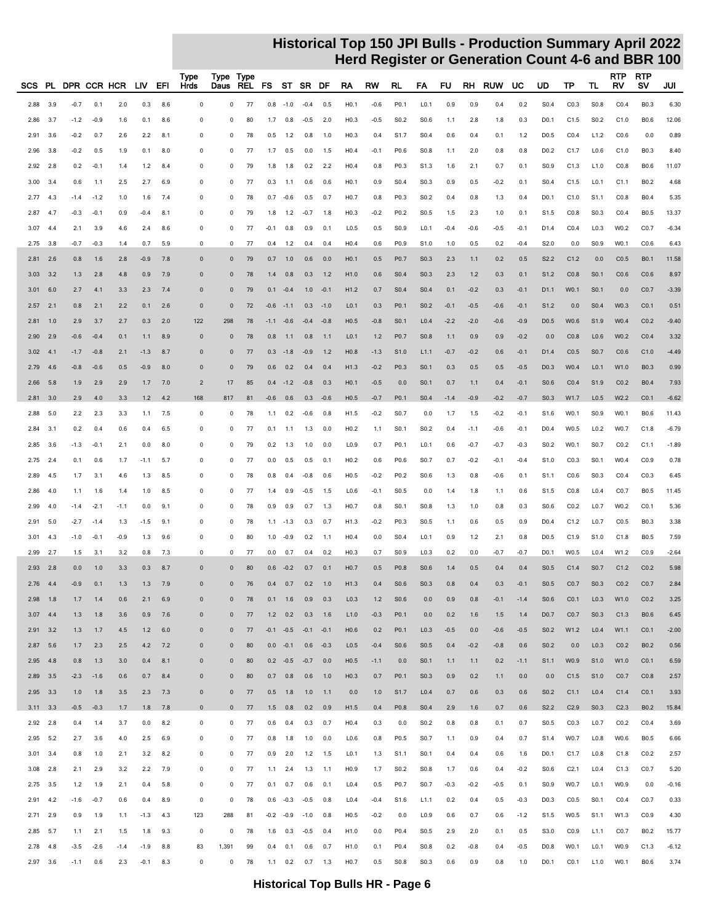| SCS        | PL.          |               |              | DPR CCR HCR | LIV.   | EFI       | Type<br>Hrds   | Type Type<br>Daus | REL | FS     |                 | ST SR DF                    |            | RA               | RW     | RL               | FA               | FU     | RH     | <b>RUW</b> | UC     | UD               | TP               | TL               | <b>RTP</b><br>RV | <b>RTP</b><br>s٧ | JUI     |
|------------|--------------|---------------|--------------|-------------|--------|-----------|----------------|-------------------|-----|--------|-----------------|-----------------------------|------------|------------------|--------|------------------|------------------|--------|--------|------------|--------|------------------|------------------|------------------|------------------|------------------|---------|
| 2.88       | 3.9          | $-0.7$        | 0.1          | 2.0         | 0.3    | 8.6       | $\mathbf 0$    | 0                 | 77  | 0.8    | $-1.0$          | $-0.4$                      | 0.5        | H0.1             | $-0.6$ | P <sub>0.1</sub> | L <sub>0.1</sub> | 0.9    | 0.9    | 0.4        | 0.2    | S <sub>0.4</sub> | CO.3             | S <sub>0.8</sub> | CO.4             | <b>B0.3</b>      | 6.30    |
| 2.86       | 3.7          | $-1.2$        | $-0.9$       | 1.6         | 0.1    | 8.6       | $\mathbf 0$    | $\Omega$          | 80  | 1.7    | 0.8             | $-0.5$                      | 2.0        | H <sub>0.3</sub> | $-0.5$ | S <sub>0.2</sub> | S0.6             | 1.1    | 2.8    | 1.8        | 0.3    | D <sub>0.1</sub> | C1.5             | S <sub>0.2</sub> | C1.0             | B0.6             | 12.06   |
| 2.91       | 3.6          | $-0.2$        | 0.7          | 2.6         | 2.2    | 8.1       | 0              | 0                 | 78  | 0.5    | 1.2             | 0.8                         | 1.0        | H <sub>0.3</sub> | 0.4    | S <sub>1.7</sub> | S <sub>0.4</sub> | 0.6    | 0.4    | 0.1        | 1.2    | D <sub>0.5</sub> | CO.4             | L1.2             | CO.6             | 0.0              | 0.89    |
| 2.96       | 3.8          | $-0.2$        | 0.5          | 1.9         | 0.1    | 8.0       | $\Omega$       | $\Omega$          | 77  | 1.7    | 0.5             | 0.0                         |            | H0.4             | $-0.1$ | P0.6             | S <sub>0.8</sub> |        | 2.0    | 0.8        | 0.8    | D <sub>0.2</sub> | C1.7             | L0.6             | C1.0             | B0.3             | 8.40    |
|            |              |               |              |             |        |           |                |                   |     |        |                 |                             | 1.5        |                  |        |                  |                  | 1.1    |        |            |        |                  |                  |                  |                  |                  |         |
| 2.92       | 2.8          | 0.2           | $-0.1$       | 1.4         | 1.2    | 8.4       | 0              | 0                 | 79  | 1.8    | 1.8             | 0.2                         | 2.2        | H <sub>0.4</sub> | 0.8    | P0.3             | S <sub>1.3</sub> | 1.6    | 2.1    | 0.7        | 0.1    | S <sub>0.9</sub> | C1.3             | L1.0             | CO.8             | <b>B0.6</b>      | 11.07   |
| 3.00       | 3.4          | 0.6           | 1.1          | 2.5         | 2.7    | 6.9       | $\mathbf 0$    | $\Omega$          | 77  | 0.3    | 1.1             | 0.6                         | 0.6        | H <sub>0.1</sub> | 0.9    | S <sub>0.4</sub> | S <sub>0.3</sub> | 0.9    | 0.5    | $-0.2$     | 0.1    | S <sub>0.4</sub> | C1.5             | L0.1             | C1.1             | B0.2             | 4.68    |
| 2.77       | 4.3          | $-1.4$        | $-1.2$       | 1.0         | 1.6    | 7.4       | 0              | 0                 | 78  | 0.7    | $-0.6$          | 0.5                         | 0.7        | H <sub>0.7</sub> | 0.8    | P0.3             | S <sub>0.2</sub> | 0.4    | 0.8    | 1.3        | 0.4    | D <sub>0.1</sub> | C1.0             | S <sub>1.1</sub> | CO.8             | <b>B0.4</b>      | 5.35    |
| 2.87       | -4.7         | $-0.3$        | $-0.1$       | 0.9         | $-0.4$ | 8.1       | 0              | $\Omega$          | 79  | 1.8    | 1.2             | $-0.7$                      | 1.8        | H <sub>0.3</sub> | $-0.2$ | P <sub>0.2</sub> | S0.5             | 1.5    | 2.3    | 1.0        | 0.1    | S <sub>1.5</sub> | CO.8             | S <sub>0.3</sub> | CO.4             | B0.5             | 13.37   |
| 3.07       | -4.4         | 2.1           | 3.9          | 4.6         | 2.4    | 8.6       | 0              | 0                 | 77  | $-0.1$ | 0.8             | 0.9                         | 0.1        | L <sub>0.5</sub> | 0.5    | S <sub>0.9</sub> | L <sub>0.1</sub> | $-0.4$ | $-0.6$ | $-0.5$     | $-0.1$ | D <sub>1.4</sub> | CO.4             | L <sub>0.3</sub> | W0.2             | C <sub>0.7</sub> | $-6.34$ |
| 2.75       | 3.8          | $-0.7$        | $-0.3$       | 1.4         | 0.7    | 5.9       | $\mathbf 0$    | 0                 | 77  | 0.4    | $1.2$           | 0.4                         | 0.4        | H0.4             | 0.6    | P <sub>0.9</sub> | S <sub>1.0</sub> | 1.0    | 0.5    | 0.2        | $-0.4$ | S2.0             | 0.0              | S0.9             | W0.1             | CO.6             | 6.43    |
| 2.81       | 2.6          | 0.8           | 1.6          | 2.8         | $-0.9$ | 7.8       | $\mathbf{0}$   | $\Omega$          | 79  | 0.7    | 1.0             | 0.6                         | 0.0        | H <sub>0.1</sub> | 0.5    | P <sub>0.7</sub> | S <sub>0.3</sub> | 2.3    | 1.1    | 0.2        | 0.5    | S <sub>2.2</sub> | C1.2             | 0.0              | CO.5             | <b>B0.1</b>      | 11.58   |
| 3.03       | 3.2          | 1.3           | 2.8          | 4.8         | 0.9    | 7.9       | $\Omega$       | $\Omega$          | 78  | 1.4    | 0.8             | 0.3                         | 1.2        | H1.0             | 0.6    | S <sub>0.4</sub> | S0.3             | 2.3    | 1.2    | 0.3        | 0.1    | S1.2             | CO.8             | S <sub>0.1</sub> | CO.6             | CO.6             | 8.97    |
| 3.01       | 6.0          | 2.7           | 4.1          | 3.3         | 2.3    | 7.4       | $\Omega$       | $\Omega$          | 79  |        | $0.1 - 0.4$     |                             | $1.0 -0.1$ | H1.2             | 0.7    | S <sub>0.4</sub> | S <sub>0.4</sub> | 0.1    | $-0.2$ | 0.3        | $-0.1$ | D1.1             | W0.1             | S <sub>0.1</sub> | 0.0              | CO.7             | $-3.39$ |
| 2.57       | 2.1          | 0.8           | 2.1          | 2.2         | 0.1    | 2.6       | $\mathbf{0}$   | $\mathbf{0}$      | 72  | $-0.6$ | $-1.1$          | 0.3                         | $-1.0$     | L <sub>0.1</sub> | 0.3    | P <sub>0.1</sub> | S <sub>0.2</sub> | $-0.1$ | $-0.5$ | $-0.6$     | $-0.1$ | S <sub>1.2</sub> | 0.0              | S <sub>0.4</sub> | W0.3             | CO.1             | 0.51    |
| 2.81       | 1.0          | 2.9           | 3.7          | 2.7         | 0.3    | 2.0       | 122            | 298               | 78  | $-1.1$ | $-0.6$          | $-0.4$                      | $-0.8$     | H0.5             | $-0.8$ | S <sub>0.1</sub> | L <sub>0.4</sub> | $-2.2$ | $-2.0$ | $-0.6$     | $-0.9$ | D <sub>0.5</sub> | W0.6             | S <sub>1.9</sub> | W0.4             | CO.2             | $-9.40$ |
| 2.90       | 2.9          | $-0.6$        | $-0.4$       | 0.1         | 1.1    | 8.9       | $\mathbf{0}$   | $\mathbf{0}$      | 78  | 0.8    | 1.1             | 0.8                         | 1.1        | L <sub>0.1</sub> | $1.2$  | P <sub>0.7</sub> | S <sub>0.8</sub> | 1.1    | 0.9    | 0.9        | $-0.2$ | 0.0              | CO.8             | L <sub>0.6</sub> | W0.2             | CO.4             | 3.32    |
| 3.02       | 4.1          | $-1.7$        | $-0.8$       | 2.1         | $-1.3$ | 8.7       | $\mathbf{0}$   | $\mathbf{0}$      | 77  | 0.3    | $-1.8$          | $-0.9$                      | 1.2        | H <sub>0.8</sub> | $-1.3$ | S1.0             | L1.1             | $-0.7$ | $-0.2$ | 0.6        | $-0.1$ | D <sub>1.4</sub> | CO.5             | S0.7             | CO.6             | C1.0             | $-4.49$ |
| 2.79       | 4.6          | $-0.8$        | $-0.6$       | 0.5         | $-0.9$ | 8.0       | $\Omega$       | $\mathbf{0}$      | 79  | 0.6    | 0.2             | 0.4                         | 0.4        | H1.3             | $-0.2$ | P0.3             | S0.1             | 0.3    | 0.5    | 0.5        | $-0.5$ | D <sub>0.3</sub> | W0.4             | L <sub>0.1</sub> | W1.0             | <b>B0.3</b>      | 0.99    |
| 2.66       | 5.8          | 1.9           | 2.9          | 2.9         | 1.7    | 7.0       | $\overline{2}$ | 17                | 85  |        |                 | $0.4 -1.2 -0.8$             | 0.3        | H <sub>0.1</sub> | $-0.5$ | 0.0              | S0.1             | 0.7    | 1.1    | 0.4        | $-0.1$ | S0.6             | CO.4             | S1.9             | CO.2             | <b>B0.4</b>      | 7.93    |
| 2.81       | 3.0          | 2.9           | 4.0          | 3.3         | 1.2    | 4.2       | 168            | 817               | 81  | $-0.6$ | 0.6             |                             | $0.3 -0.6$ | H <sub>0.5</sub> | $-0.7$ | P <sub>0.1</sub> | S <sub>0.4</sub> | $-1.4$ | $-0.9$ | $-0.2$     | $-0.7$ | S <sub>0.3</sub> | W1.7             | L <sub>0.5</sub> | W <sub>2.2</sub> | CO.1             | $-6.62$ |
| 2.88       | 5.0          | $2.2^{\circ}$ | 2.3          | 3.3         | 1.1    | 7.5       | $\mathbf 0$    | 0                 | 78  | 1.1    | 0.2             | $-0.6$                      | 0.8        | H1.5             | $-0.2$ | S <sub>0.7</sub> | 0.0              | 1.7    | 1.5    | $-0.2$     | $-0.1$ | S <sub>1.6</sub> | W0.1             | S <sub>0.9</sub> | W0.1             | B0.6             | 11.43   |
| 2.84       | 3.1          | 0.2           | 0.4          | 0.6         | 0.4    | 6.5       | 0              | 0                 | 77  | 0.1    | 1.1             | 1.3                         | 0.0        | H <sub>0.2</sub> | 1.1    | S <sub>0.1</sub> | S <sub>0.2</sub> | 0.4    | $-1.1$ | $-0.6$     | $-0.1$ | D <sub>0.4</sub> | W0.5             | L <sub>0.2</sub> | W0.7             | C1.8             | $-6.79$ |
| 2.85       | 3.6          | $-1.3$        | $-0.1$       | 2.1         | 0.0    | 8.0       | $\Omega$       | $\Omega$          | 79  | 0.2    | 1.3             | 1.0                         | 0.0        | L <sub>0.9</sub> | 0.7    | P0.1             | L <sub>0.1</sub> | 0.6    | $-0.7$ | $-0.7$     | $-0.3$ | S <sub>0.2</sub> | W0.1             | S0.7             | CO.2             | C1.1             | $-1.89$ |
| 2.75       | 2.4          | 0.1           | 0.6          | 1.7         | $-1.1$ | 5.7       | $\mathbf 0$    | 0                 | 77  | 0.0    | 0.5             | 0.5                         | 0.1        | H <sub>0.2</sub> | 0.6    | P0.6             | S0.7             | 0.7    | $-0.2$ | $-0.1$     | $-0.4$ | S1.0             | CO.3             | S0.1             | W0.4             | CO.9             | 0.78    |
| 2.89       | 4.5          | 1.7           | 3.1          | 4.6         | 1.3    | 8.5       | $\mathbf 0$    | $\Omega$          | 78  | 0.8    | 0.4             | $-0.8$                      | 0.6        | H0.5             | $-0.2$ | P <sub>0.2</sub> | S <sub>0.6</sub> | 1.3    | 0.8    | $-0.6$     | 0.1    | S1.1             | CO.6             | S <sub>0.3</sub> | CO.4             | CO.3             | 6.45    |
| 2.86       | 4.0          | 1.1           | 1.6          | 1.4         | 1.0    | 8.5       | 0              | 0                 | 77  | 1.4    | 0.9             | $-0.5$                      | 1.5        | L0.6             | $-0.1$ | S <sub>0.5</sub> | 0.0              | 1.4    | 1.8    | 1.1        | 0.6    | S <sub>1.5</sub> | CO.8             | L0.4             | C <sub>0.7</sub> | B0.5             | 11.45   |
| 2.99       | 4.0          | $-1.4$        | $-2.1$       | $-1.1$      | 0.0    | 9.1       | 0              | 0                 | 78  | 0.9    | 0.9             | 0.7                         | 1.3        | H <sub>0.7</sub> | 0.8    | S <sub>0.1</sub> | S0.8             | 1.3    | 1.0    | 0.8        | 0.3    | S0.6             | CO.2             | L <sub>0.7</sub> | W0.2             | CO.1             | 5.36    |
| 2.91       | 5.0          | $-2.7$        | $-1.4$       | 1.3         | $-1.5$ | 9.1       | 0              | 0                 | 78  | 1.1    | $-1.3$          | 0.3                         | 0.7        | H <sub>1.3</sub> | $-0.2$ | P <sub>0.3</sub> | S <sub>0.5</sub> | 1.1    | 0.6    | 0.5        | 0.9    | D <sub>0.4</sub> | C1.2             | L <sub>0.7</sub> | C <sub>0.5</sub> | <b>B0.3</b>      | 3.38    |
| 3.01       | 4.3          | $-1.0$        | $-0.1$       | $-0.9$      | 1.3    | 9.6       | $\mathbf 0$    | 0                 | 80  | 1.0    | $-0.9$          | 0.2                         | $-1.1$     | H <sub>0.4</sub> | 0.0    | S <sub>0.4</sub> | L <sub>0.1</sub> | 0.9    | 1.2    | 2.1        | 0.8    | D <sub>0.5</sub> | C1.9             | S1.0             | C1.8             | B0.5             | 7.59    |
| 2.99       | 2.7          | 1.5           | 3.1          | 3.2         | 0.8    | 7.3       | $\mathbf 0$    | $\mathbf 0$       | 77  | 0.0    | 0.7             | 0.4                         | 0.2        | H <sub>0.3</sub> | 0.7    | S <sub>0.9</sub> | L <sub>0.3</sub> | 0.2    | 0.0    | $-0.7$     | $-0.7$ | D <sub>0.1</sub> | W0.5             | L0.4             | W1.2             | CO.9             | $-2.64$ |
| 2.93       | 2.8          | 0.0           | 1.0          | 3.3         | 0.3    | 8.7       | $\Omega$       | $\Omega$          | 80  | 0.6    | $-0.2$          | 0.7                         | 0.1        | H <sub>0.7</sub> | 0.5    | P <sub>0.8</sub> | S0.6             | 1.4    | 0.5    | 0.4        | 0.4    | S <sub>0.5</sub> | C1.4             | S0.7             | C1.2             | CO.2             | 5.98    |
| 2.76       | 4.4          | $-0.9$        | 0.1          | 1.3         | 1.3    | 7.9       | $\Omega$       | $\Omega$          | 76  |        | $0.4$ 0.7       | 0.2                         | 1.0        | H1.3             | 0.4    | S0.6             | S0.3             | 0.8    | 0.4    | 0.3        | $-0.1$ | S <sub>0.5</sub> | CO.7             | S <sub>0.3</sub> | CO.2             | CO.7             | 2.84    |
|            | $2.98$ 1.8   | 1.7           | 1.4          | 0.6         | 2.1    | 6.9       | $\mathbf 0$    | $\bf{0}$          | 78  |        | 0.1 1.6         | 0.9                         | 0.3        | L <sub>0.3</sub> | $1.2$  | S <sub>0.6</sub> | 0.0              | 0.9    | 0.8    | $-0.1$     | $-1.4$ | S <sub>0.6</sub> | C <sub>0.1</sub> | L <sub>0.3</sub> | W1.0             | CO.2             | 3.25    |
| $3.07$ 4.4 |              | 1.3           | 1.8          | 3.6         | 0.9    | 7.6       | $\mathbf 0$    | $\bf{0}$          | 77  |        | $1.2 \t 0.2$    | 0.3                         | 1.6        | L1.0             | $-0.3$ | P <sub>0.1</sub> | 0.0              | 0.2    | 1.6    | 1.5        | 1.4    | D <sub>0.7</sub> | CO.7             | S <sub>0.3</sub> | C1.3             | <b>B0.6</b>      | 6.45    |
|            | $2.91$ $3.2$ | 1.3           | 1.7          | 4.5         | 1.2    | 6.0       | $\mathbf 0$    | $\mathbf 0$       | 77  |        |                 | $-0.1$ $-0.5$ $-0.1$ $-0.1$ |            | H <sub>0.6</sub> | 0.2    | P <sub>0.1</sub> | L <sub>0.3</sub> | $-0.5$ | 0.0    | $-0.6$     | $-0.5$ | S <sub>0.2</sub> | W1.2             | L <sub>0.4</sub> | W1.1             | C <sub>0.1</sub> | $-2.00$ |
|            | 2.87 5.6     | 1.7           | 2.3          | 2.5         | 4.2    | 7.2       | $\mathbf 0$    | $\bf{0}$          | 80  |        | $0.0 -0.1$      |                             | $0.6 -0.3$ | L <sub>0.5</sub> | $-0.4$ | S0.6             | S <sub>0.5</sub> | 0.4    | $-0.2$ | $-0.8$     | 0.6    | S <sub>0.2</sub> | 0.0              | L <sub>0.3</sub> | CO.2             | <b>B0.2</b>      | 0.56    |
|            | $2.95$ 4.8   | 0.8           | 1.3          | 3.0         | 0.4    | 8.1       | $\mathbf{0}$   | $\mathbf 0$       | 80  |        |                 | $0.2 -0.5 -0.7 0.0$         |            | H0.5             | $-1.1$ | 0.0              | S <sub>0.1</sub> | 1.1    | 1.1    | 0.2        | $-1.1$ | S <sub>1.1</sub> | W0.9             | S1.0             | W1.0             | C <sub>0.1</sub> | 6.59    |
|            | 2.89 3.5     | $-2.3$        | $-1.6$       | 0.6         | 0.7    | 8.4       | $\mathbf 0$    | $\pmb{0}$         | 80  |        | $0.7\ 0.8$      | 0.6                         | 1.0        | H <sub>0.3</sub> | 0.7    | P0.1             | S <sub>0.3</sub> | 0.9    | 0.2    | 1.1        | 0.0    | 0.0              | C1.5             | S1.0             | CO.7             | CO.8             | 2.57    |
|            | 2.95 3.3     | 1.0           | 1.8          | 3.5         | 2.3    | 7.3       | $\mathbf 0$    | $\mathbf 0$       | 77  |        | $0.5$ 1.8       | 1.0                         | 1.1        | 0.0              | 1.0    | S <sub>1.7</sub> | L <sub>0.4</sub> | 0.7    | 0.6    | 0.3        | 0.6    | S <sub>0.2</sub> | C1.1             | L <sub>0.4</sub> | C1.4             | C <sub>0.1</sub> | 3.93    |
|            | $3.11$ $3.3$ |               | $-0.5 - 0.3$ | 1.7         |        | $1.8$ 7.8 | $\mathbf{0}$   | $\mathbf{0}$      | 77  |        | $1.5\qquad 0.8$ |                             | $0.2$ 0.9  | H <sub>1.5</sub> | 0.4    | P0.8             | S <sub>0.4</sub> | 2.9    | 1.6    | 0.7        | 0.6    | S <sub>2.2</sub> | C2.9             | S <sub>0.3</sub> | C <sub>2.3</sub> | <b>B0.2</b>      | 15.84   |
|            | $2.92$ $2.8$ | 0.4           | 1.4          | 3.7         | 0.0    | 8.2       | 0              | 0                 | 77  |        | $0.6$ 0.4       | 0.3                         | 0.7        | H <sub>0.4</sub> | 0.3    | 0.0              | S <sub>0.2</sub> | 0.8    | 0.8    | 0.1        | 0.7    | S <sub>0.5</sub> | CO.3             | L <sub>0.7</sub> | CO.2             | CO.4             | 3.69    |
|            | 2.95 5.2     | 2.7           | 3.6          | 4.0         | 2.5    | 6.9       | 0              | 0                 | 77  |        | $0.8$ 1.8       | 1.0                         | 0.0        | L <sub>0.6</sub> | 0.8    | P0.5             | S <sub>0.7</sub> | 1.1    | 0.9    | 0.4        | 0.7    | S <sub>1.4</sub> | W0.7             | L0.8             | W0.6             | <b>B0.5</b>      | 6.66    |
|            | $3.01$ $3.4$ | 0.8           | 1.0          | 2.1         | 3.2    | 8.2       | 0              | 0                 | 77  | 0.9    | 2.0             | $1.2$ 1.5                   |            | L <sub>0.1</sub> | 1.3    | S <sub>1.1</sub> | S <sub>0.1</sub> | 0.4    | 0.4    | 0.6        | 1.6    | D <sub>0.1</sub> | C1.7             | L0.8             | C1.8             | CO.2             | 2.57    |
|            | $3.08$ 2.8   | 2.1           | 2.9          | 3.2         | 2.2    | 7.9       | $\pmb{0}$      | 0                 | 77  |        | $1.1$ 2.4       | 1.3                         | 1.1        | H <sub>0.9</sub> | 1.7    | S <sub>0.2</sub> | S0.8             | 1.7    | 0.6    | 0.4        | $-0.2$ | S0.6             | C <sub>2.1</sub> | L <sub>0.4</sub> | C1.3             | C <sub>0.7</sub> | 5.20    |
|            | 2.75 3.5     | 1.2           | 1.9          | 2.1         | 0.4    | 5.8       | 0              | 0                 | 77  |        | 0.1 0.7         | 0.6                         | 0.1        | L <sub>0.4</sub> | 0.5    | P0.7             | S0.7             | $-0.3$ | $-0.2$ | $-0.5$     | 0.1    | S <sub>0.9</sub> | W0.7             | L <sub>0.1</sub> | W0.9             | 0.0              | $-0.16$ |
|            | 2.91 4.2     |               | $-1.6 - 0.7$ | 0.6         | 0.4    | 8.9       | 0              | 0                 | 78  |        |                 | $0.6 -0.3 -0.5$             | 0.8        | L <sub>0.4</sub> | $-0.4$ | S <sub>1.6</sub> | L1.1             | 0.2    | 0.4    | 0.5        | $-0.3$ | D <sub>0.3</sub> | CO.5             | S0.1             | CO.4             | C <sub>0.7</sub> | 0.33    |
|            | $2.71$ 2.9   | 0.9           | 1.9          | 1.1         | $-1.3$ | 4.3       | 123            | 288               | 81  |        |                 | $-0.2 -0.9 -1.0$            | 0.8        | H <sub>0.5</sub> | $-0.2$ | 0.0              | L <sub>0.9</sub> | 0.6    | 0.7    | 0.6        | $-1.2$ | S <sub>1.5</sub> | W0.5             | S <sub>1.1</sub> | W1.3             | CO.9             | 4.30    |
|            | 2.85 5.7     | 1.1           | 2.1          | 1.5         | 1.8    | 9.3       | 0              | 0                 | 78  |        |                 | $1.6$ 0.3 -0.5              | 0.4        | H1.0             | 0.0    | P0.4             | S <sub>0.5</sub> | 2.9    | 2.0    | 0.1        | 0.5    | S3.0             | CO.9             | L1.1             | C <sub>0.7</sub> | B <sub>0.2</sub> | 15.77   |
|            | $2.78$ 4.8   | $-3.5$        | $-2.6$       | $-1.4$      | $-1.9$ | 8.8       | 83             | 1,391             | 99  | 0.4    | 0.1             | 0.6                         | 0.7        | H <sub>1.0</sub> | 0.1    | P0.4             | S <sub>0.8</sub> | 0.2    | $-0.8$ | 0.4        | $-0.5$ | D <sub>0.8</sub> | W0.1             | L <sub>0.1</sub> | W0.9             | C1.3             | $-6.12$ |
|            | 2.97 3.6     | $-1.1$        | 0.6          | 2.3         | $-0.1$ | 8.3       | $\mathbf 0$    | 0                 | 78  |        |                 | $1.1$ 0.2 0.7 1.3           |            | H <sub>0.7</sub> | 0.5    | S0.8             | S0.3             | 0.6    | 0.9    | 0.8        | 1.0    | D <sub>0.1</sub> | CO.1             | L1.0             | W0.1             | <b>B0.6</b>      | 3.74    |
|            |              |               |              |             |        |           |                |                   |     |        |                 |                             |            |                  |        |                  |                  |        |        |            |        |                  |                  |                  |                  |                  |         |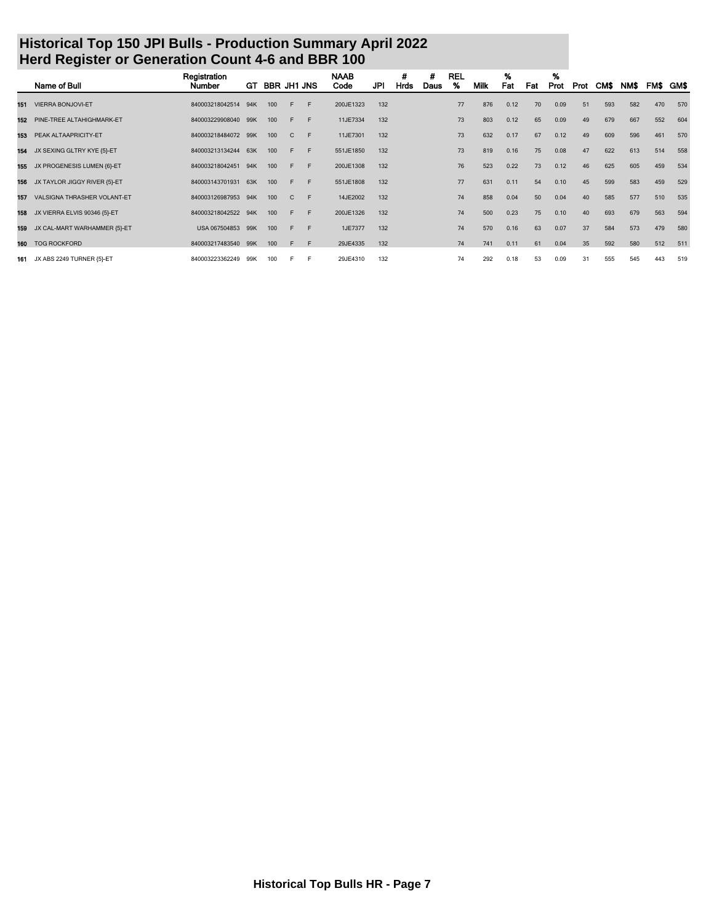|     | Name of Bull                 | Registration<br>Number | GT. | <b>BBR JH1 JNS</b> |   |   | <b>NAAB</b><br>Code | <b>JPI</b> | #<br>Hrds | #<br>Daus | <b>REL</b><br>% | <b>Milk</b> | %<br>Fat | Fat | %<br>Prot | Prot | CM\$ | NM\$ |     | FM\$ GM\$ |
|-----|------------------------------|------------------------|-----|--------------------|---|---|---------------------|------------|-----------|-----------|-----------------|-------------|----------|-----|-----------|------|------|------|-----|-----------|
| 151 | <b>VIERRA BONJOVI-ET</b>     | 840003218042514        | 94K | 100                | F | F | 200JE1323           | 132        |           |           | 77              | 876         | 0.12     | 70  | 0.09      | 51   | 593  | 582  | 470 | 570       |
| 152 | PINE-TREE ALTAHIGHMARK-ET    | 840003229908040 99K    |     | 100                | F | F | 11JE7334            | 132        |           |           | 73              | 803         | 0.12     | 65  | 0.09      | 49   | 679  | 667  | 552 | 604       |
| 153 | PEAK ALTAAPRICITY-ET         | 840003218484072 99K    |     | 100                | C | F | 11JE7301            | 132        |           |           | 73              | 632         | 0.17     | 67  | 0.12      | 49   | 609  | 596  | 461 | 570       |
| 154 | JX SEXING GLTRY KYE {5}-ET   | 840003213134244        | 63K | 100                | F | F | 551JE1850           | 132        |           |           | 73              | 819         | 0.16     | 75  | 0.08      | 47   | 622  | 613  | 514 | 558       |
| 155 | JX PROGENESIS LUMEN {6}-ET   | 840003218042451        | 94K | 100                | F | F | 200JE1308           | 132        |           |           | 76              | 523         | 0.22     | 73  | 0.12      | 46   | 625  | 605  | 459 | 534       |
| 156 | JX TAYLOR JIGGY RIVER {5}-ET | 840003143701931        | 63K | 100                | F | F | 551JE1808           | 132        |           |           | 77              | 631         | 0.11     | 54  | 0.10      | 45   | 599  | 583  | 459 | 529       |
| 157 | VALSIGNA THRASHER VOLANT-ET  | 840003126987953        | 94K | 100                | C | F | 14JE2002            | 132        |           |           | 74              | 858         | 0.04     | 50  | 0.04      | 40   | 585  | 577  | 510 | 535       |
| 158 | JX VIERRA ELVIS 90346 {5}-ET | 840003218042522        | 94K | 100                | F | F | 200JE1326           | 132        |           |           | 74              | 500         | 0.23     | 75  | 0.10      | 40   | 693  | 679  | 563 | 594       |
| 159 | JX CAL-MART WARHAMMER {5}-ET | USA 067504853          | 99K | 100                | F | F | 1JE7377             | 132        |           |           | 74              | 570         | 0.16     | 63  | 0.07      | 37   | 584  | 573  | 479 | 580       |
| 160 | <b>TOG ROCKFORD</b>          | 840003217483540 99K    |     | 100                | E | F | 29JE4335            | 132        |           |           | 74              | 741         | 0.11     | 61  | 0.04      | 35   | 592  | 580  | 512 | 511       |
| 161 | JX ABS 2249 TURNER {5}-ET    | 840003223362249        | 99K | 100                | F | F | 29JE4310            | 132        |           |           | 74              | 292         | 0.18     | 53  | 0.09      | 31   | 555  | 545  | 443 | 519       |